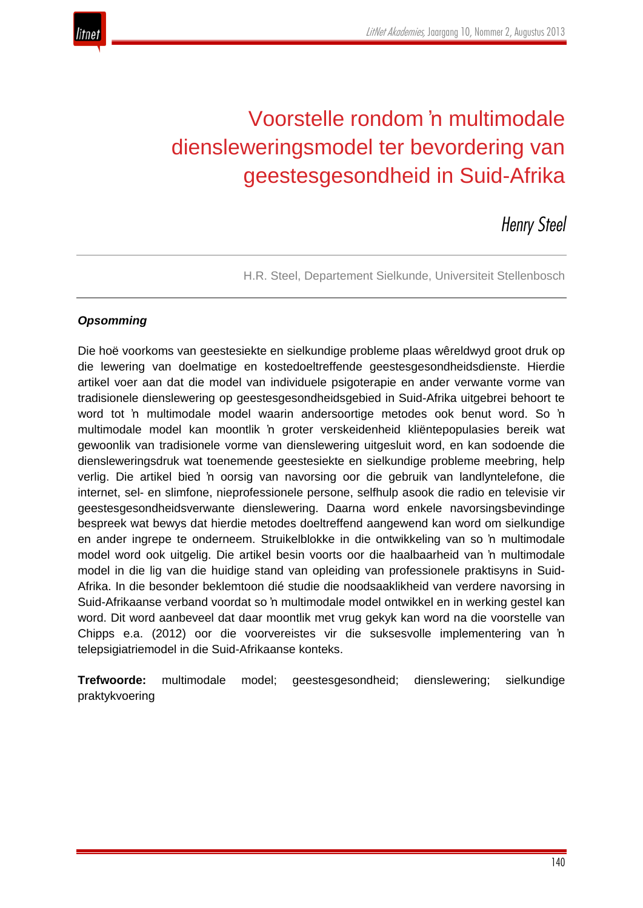

# Voorstelle rondom 'n multimodale diensleweringsmodel ter bevordering van geestesgesondheid in Suid-Afrika

*Henry Steel*

H.R. Steel, Departement Sielkunde, Universiteit Stellenbosch

#### *Opsomming*

Die hoë voorkoms van geestesiekte en sielkundige probleme plaas wêreldwyd groot druk op die lewering van doelmatige en kostedoeltreffende geestesgesondheidsdienste. Hierdie artikel voer aan dat die model van individuele psigoterapie en ander verwante vorme van tradisionele dienslewering op geestesgesondheidsgebied in Suid-Afrika uitgebrei behoort te word tot 'n multimodale model waarin andersoortige metodes ook benut word. So 'n multimodale model kan moontlik 'n groter verskeidenheid kliëntepopulasies bereik wat gewoonlik van tradisionele vorme van dienslewering uitgesluit word, en kan sodoende die diensleweringsdruk wat toenemende geestesiekte en sielkundige probleme meebring, help verlig. Die artikel bied 'n oorsig van navorsing oor die gebruik van landlyntelefone, die internet, sel- en slimfone, nieprofessionele persone, selfhulp asook die radio en televisie vir geestesgesondheidsverwante dienslewering. Daarna word enkele navorsingsbevindinge bespreek wat bewys dat hierdie metodes doeltreffend aangewend kan word om sielkundige en ander ingrepe te onderneem. Struikelblokke in die ontwikkeling van so 'n multimodale model word ook uitgelig. Die artikel besin voorts oor die haalbaarheid van 'n multimodale model in die lig van die huidige stand van opleiding van professionele praktisyns in Suid-Afrika. In die besonder beklemtoon dié studie die noodsaaklikheid van verdere navorsing in Suid-Afrikaanse verband voordat so 'n multimodale model ontwikkel en in werking gestel kan word. Dit word aanbeveel dat daar moontlik met vrug gekyk kan word na die voorstelle van Chipps e.a. (2012) oor die voorvereistes vir die suksesvolle implementering van 'n telepsigiatriemodel in die Suid-Afrikaanse konteks.

**Trefwoorde:** multimodale model; geestesgesondheid; dienslewering; sielkundige praktykvoering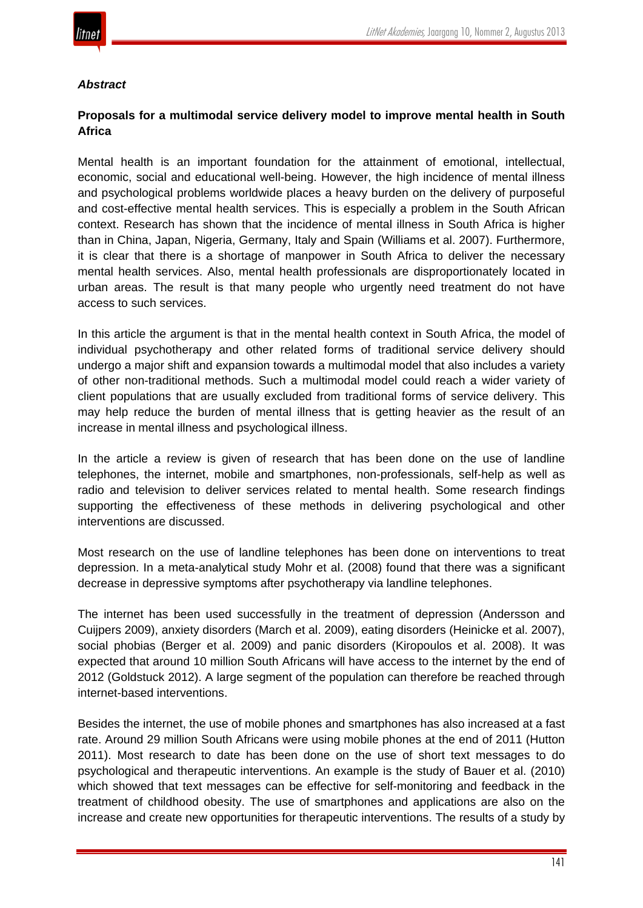

#### *Abstract*

## **Proposals for a multimodal service delivery model to improve mental health in South Africa**

Mental health is an important foundation for the attainment of emotional, intellectual, economic, social and educational well-being. However, the high incidence of mental illness and psychological problems worldwide places a heavy burden on the delivery of purposeful and cost-effective mental health services. This is especially a problem in the South African context. Research has shown that the incidence of mental illness in South Africa is higher than in China, Japan, Nigeria, Germany, Italy and Spain (Williams et al. 2007). Furthermore, it is clear that there is a shortage of manpower in South Africa to deliver the necessary mental health services. Also, mental health professionals are disproportionately located in urban areas. The result is that many people who urgently need treatment do not have access to such services.

In this article the argument is that in the mental health context in South Africa, the model of individual psychotherapy and other related forms of traditional service delivery should undergo a major shift and expansion towards a multimodal model that also includes a variety of other non-traditional methods. Such a multimodal model could reach a wider variety of client populations that are usually excluded from traditional forms of service delivery. This may help reduce the burden of mental illness that is getting heavier as the result of an increase in mental illness and psychological illness.

In the article a review is given of research that has been done on the use of landline telephones, the internet, mobile and smartphones, non-professionals, self-help as well as radio and television to deliver services related to mental health. Some research findings supporting the effectiveness of these methods in delivering psychological and other interventions are discussed.

Most research on the use of landline telephones has been done on interventions to treat depression. In a meta-analytical study Mohr et al. (2008) found that there was a significant decrease in depressive symptoms after psychotherapy via landline telephones.

The internet has been used successfully in the treatment of depression (Andersson and Cuijpers 2009), anxiety disorders (March et al. 2009), eating disorders (Heinicke et al. 2007), social phobias (Berger et al. 2009) and panic disorders (Kiropoulos et al. 2008). It was expected that around 10 million South Africans will have access to the internet by the end of 2012 (Goldstuck 2012). A large segment of the population can therefore be reached through internet-based interventions.

Besides the internet, the use of mobile phones and smartphones has also increased at a fast rate. Around 29 million South Africans were using mobile phones at the end of 2011 (Hutton 2011). Most research to date has been done on the use of short text messages to do psychological and therapeutic interventions. An example is the study of Bauer et al. (2010) which showed that text messages can be effective for self-monitoring and feedback in the treatment of childhood obesity. The use of smartphones and applications are also on the increase and create new opportunities for therapeutic interventions. The results of a study by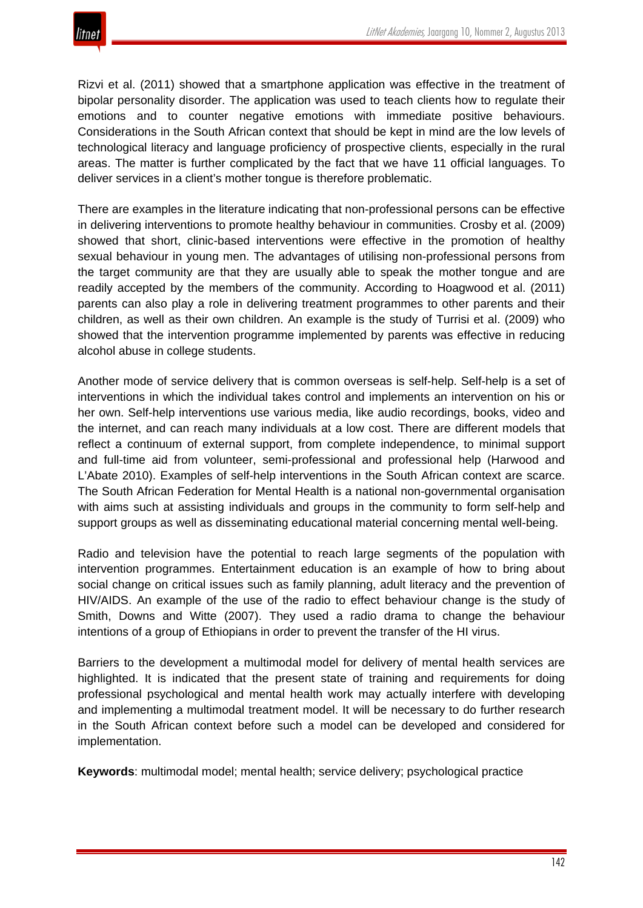

Rizvi et al. (2011) showed that a smartphone application was effective in the treatment of bipolar personality disorder. The application was used to teach clients how to regulate their emotions and to counter negative emotions with immediate positive behaviours. Considerations in the South African context that should be kept in mind are the low levels of technological literacy and language proficiency of prospective clients, especially in the rural areas. The matter is further complicated by the fact that we have 11 official languages. To deliver services in a client's mother tongue is therefore problematic.

There are examples in the literature indicating that non-professional persons can be effective in delivering interventions to promote healthy behaviour in communities. Crosby et al. (2009) showed that short, clinic-based interventions were effective in the promotion of healthy sexual behaviour in young men. The advantages of utilising non-professional persons from the target community are that they are usually able to speak the mother tongue and are readily accepted by the members of the community. According to Hoagwood et al. (2011) parents can also play a role in delivering treatment programmes to other parents and their children, as well as their own children. An example is the study of Turrisi et al. (2009) who showed that the intervention programme implemented by parents was effective in reducing alcohol abuse in college students.

Another mode of service delivery that is common overseas is self-help. Self-help is a set of interventions in which the individual takes control and implements an intervention on his or her own. Self-help interventions use various media, like audio recordings, books, video and the internet, and can reach many individuals at a low cost. There are different models that reflect a continuum of external support, from complete independence, to minimal support and full-time aid from volunteer, semi-professional and professional help (Harwood and L'Abate 2010). Examples of self-help interventions in the South African context are scarce. The South African Federation for Mental Health is a national non-governmental organisation with aims such at assisting individuals and groups in the community to form self-help and support groups as well as disseminating educational material concerning mental well-being.

Radio and television have the potential to reach large segments of the population with intervention programmes. Entertainment education is an example of how to bring about social change on critical issues such as family planning, adult literacy and the prevention of HIV/AIDS. An example of the use of the radio to effect behaviour change is the study of Smith, Downs and Witte (2007). They used a radio drama to change the behaviour intentions of a group of Ethiopians in order to prevent the transfer of the HI virus.

Barriers to the development a multimodal model for delivery of mental health services are highlighted. It is indicated that the present state of training and requirements for doing professional psychological and mental health work may actually interfere with developing and implementing a multimodal treatment model. It will be necessary to do further research in the South African context before such a model can be developed and considered for implementation.

**Keywords**: multimodal model; mental health; service delivery; psychological practice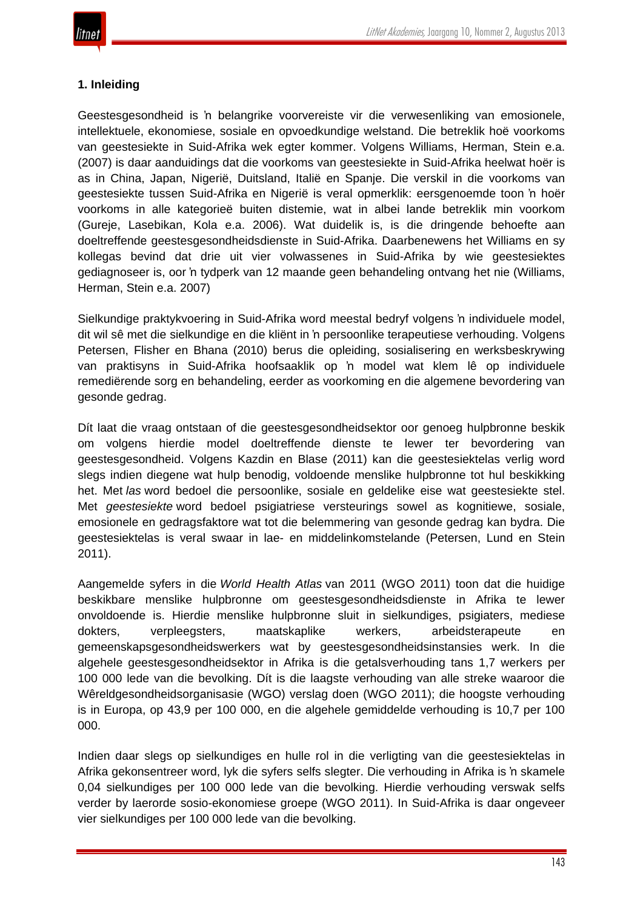

## **1. Inleiding**

Geestesgesondheid is 'n belangrike voorvereiste vir die verwesenliking van emosionele, intellektuele, ekonomiese, sosiale en opvoedkundige welstand. Die betreklik hoë voorkoms van geestesiekte in Suid-Afrika wek egter kommer. Volgens Williams, Herman, Stein e.a. (2007) is daar aanduidings dat die voorkoms van geestesiekte in Suid-Afrika heelwat hoër is as in China, Japan, Nigerië, Duitsland, Italië en Spanje. Die verskil in die voorkoms van geestesiekte tussen Suid-Afrika en Nigerië is veral opmerklik: eersgenoemde toon 'n hoër voorkoms in alle kategorieë buiten distemie, wat in albei lande betreklik min voorkom (Gureje, Lasebikan, Kola e.a. 2006). Wat duidelik is, is die dringende behoefte aan doeltreffende geestesgesondheidsdienste in Suid-Afrika. Daarbenewens het Williams en sy kollegas bevind dat drie uit vier volwassenes in Suid-Afrika by wie geestesiektes gediagnoseer is, oor 'n tydperk van 12 maande geen behandeling ontvang het nie (Williams, Herman, Stein e.a. 2007)

Sielkundige praktykvoering in Suid-Afrika word meestal bedryf volgens 'n individuele model, dit wil sê met die sielkundige en die kliënt in 'n persoonlike terapeutiese verhouding. Volgens Petersen, Flisher en Bhana (2010) berus die opleiding, sosialisering en werksbeskrywing van praktisyns in Suid-Afrika hoofsaaklik op 'n model wat klem lê op individuele remediërende sorg en behandeling, eerder as voorkoming en die algemene bevordering van gesonde gedrag.

Dít laat die vraag ontstaan of die geestesgesondheidsektor oor genoeg hulpbronne beskik om volgens hierdie model doeltreffende dienste te lewer ter bevordering van geestesgesondheid. Volgens Kazdin en Blase (2011) kan die geestesiektelas verlig word slegs indien diegene wat hulp benodig, voldoende menslike hulpbronne tot hul beskikking het. Met *las* word bedoel die persoonlike, sosiale en geldelike eise wat geestesiekte stel. Met *geestesiekte* word bedoel psigiatriese versteurings sowel as kognitiewe, sosiale, emosionele en gedragsfaktore wat tot die belemmering van gesonde gedrag kan bydra. Die geestesiektelas is veral swaar in lae- en middelinkomstelande (Petersen, Lund en Stein 2011).

Aangemelde syfers in die *World Health Atlas* van 2011 (WGO 2011) toon dat die huidige beskikbare menslike hulpbronne om geestesgesondheidsdienste in Afrika te lewer onvoldoende is. Hierdie menslike hulpbronne sluit in sielkundiges, psigiaters, mediese dokters, verpleegsters, maatskaplike werkers, arbeidsterapeute en gemeenskapsgesondheidswerkers wat by geestesgesondheidsinstansies werk. In die algehele geestesgesondheidsektor in Afrika is die getalsverhouding tans 1,7 werkers per 100 000 lede van die bevolking. Dít is die laagste verhouding van alle streke waaroor die Wêreldgesondheidsorganisasie (WGO) verslag doen (WGO 2011); die hoogste verhouding is in Europa, op 43,9 per 100 000, en die algehele gemiddelde verhouding is 10,7 per 100 000.

Indien daar slegs op sielkundiges en hulle rol in die verligting van die geestesiektelas in Afrika gekonsentreer word, lyk die syfers selfs slegter. Die verhouding in Afrika is 'n skamele 0,04 sielkundiges per 100 000 lede van die bevolking. Hierdie verhouding verswak selfs verder by laerorde sosio-ekonomiese groepe (WGO 2011). In Suid-Afrika is daar ongeveer vier sielkundiges per 100 000 lede van die bevolking.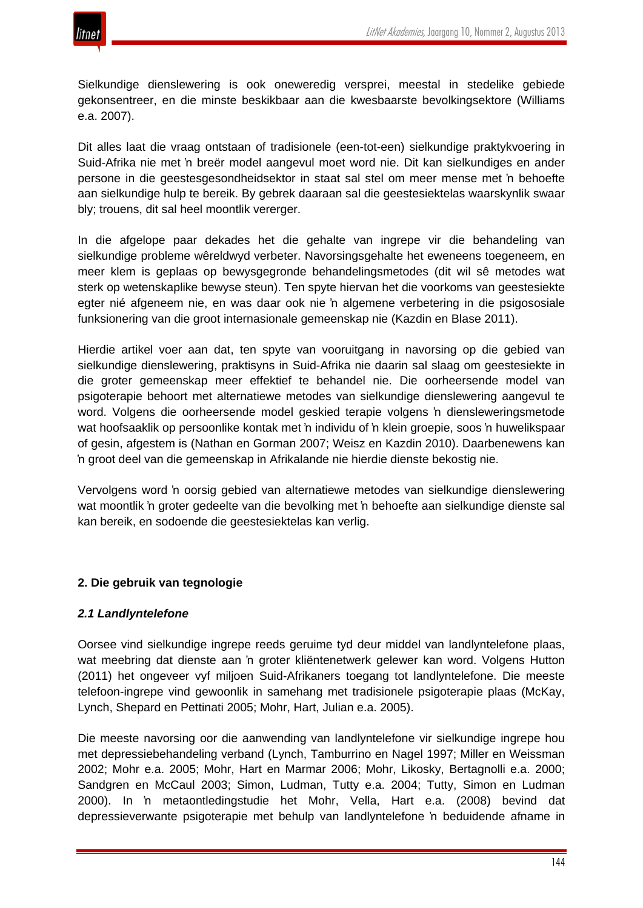

Sielkundige dienslewering is ook oneweredig versprei, meestal in stedelike gebiede gekonsentreer, en die minste beskikbaar aan die kwesbaarste bevolkingsektore (Williams e.a. 2007).

Dit alles laat die vraag ontstaan of tradisionele (een-tot-een) sielkundige praktykvoering in Suid-Afrika nie met 'n breër model aangevul moet word nie. Dit kan sielkundiges en ander persone in die geestesgesondheidsektor in staat sal stel om meer mense met 'n behoefte aan sielkundige hulp te bereik. By gebrek daaraan sal die geestesiektelas waarskynlik swaar bly; trouens, dit sal heel moontlik vererger.

In die afgelope paar dekades het die gehalte van ingrepe vir die behandeling van sielkundige probleme wêreldwyd verbeter. Navorsingsgehalte het eweneens toegeneem, en meer klem is geplaas op bewysgegronde behandelingsmetodes (dit wil sê metodes wat sterk op wetenskaplike bewyse steun). Ten spyte hiervan het die voorkoms van geestesiekte egter nié afgeneem nie, en was daar ook nie 'n algemene verbetering in die psigososiale funksionering van die groot internasionale gemeenskap nie (Kazdin en Blase 2011).

Hierdie artikel voer aan dat, ten spyte van vooruitgang in navorsing op die gebied van sielkundige dienslewering, praktisyns in Suid-Afrika nie daarin sal slaag om geestesiekte in die groter gemeenskap meer effektief te behandel nie. Die oorheersende model van psigoterapie behoort met alternatiewe metodes van sielkundige dienslewering aangevul te word. Volgens die oorheersende model geskied terapie volgens 'n diensleweringsmetode wat hoofsaaklik op persoonlike kontak met 'n individu of 'n klein groepie, soos 'n huwelikspaar of gesin, afgestem is (Nathan en Gorman 2007; Weisz en Kazdin 2010). Daarbenewens kan 'n groot deel van die gemeenskap in Afrikalande nie hierdie dienste bekostig nie.

Vervolgens word 'n oorsig gebied van alternatiewe metodes van sielkundige dienslewering wat moontlik 'n groter gedeelte van die bevolking met 'n behoefte aan sielkundige dienste sal kan bereik, en sodoende die geestesiektelas kan verlig.

# **2. Die gebruik van tegnologie**

#### *2.1 Landlyntelefone*

Oorsee vind sielkundige ingrepe reeds geruime tyd deur middel van landlyntelefone plaas, wat meebring dat dienste aan 'n groter kliëntenetwerk gelewer kan word. Volgens Hutton (2011) het ongeveer vyf miljoen Suid-Afrikaners toegang tot landlyntelefone. Die meeste telefoon-ingrepe vind gewoonlik in samehang met tradisionele psigoterapie plaas (McKay, Lynch, Shepard en Pettinati 2005; Mohr, Hart, Julian e.a. 2005).

Die meeste navorsing oor die aanwending van landlyntelefone vir sielkundige ingrepe hou met depressiebehandeling verband (Lynch, Tamburrino en Nagel 1997; Miller en Weissman 2002; Mohr e.a. 2005; Mohr, Hart en Marmar 2006; Mohr, Likosky, Bertagnolli e.a. 2000; Sandgren en McCaul 2003; Simon, Ludman, Tutty e.a. 2004; Tutty, Simon en Ludman 2000). In 'n metaontledingstudie het Mohr, Vella, Hart e.a. (2008) bevind dat depressieverwante psigoterapie met behulp van landlyntelefone 'n beduidende afname in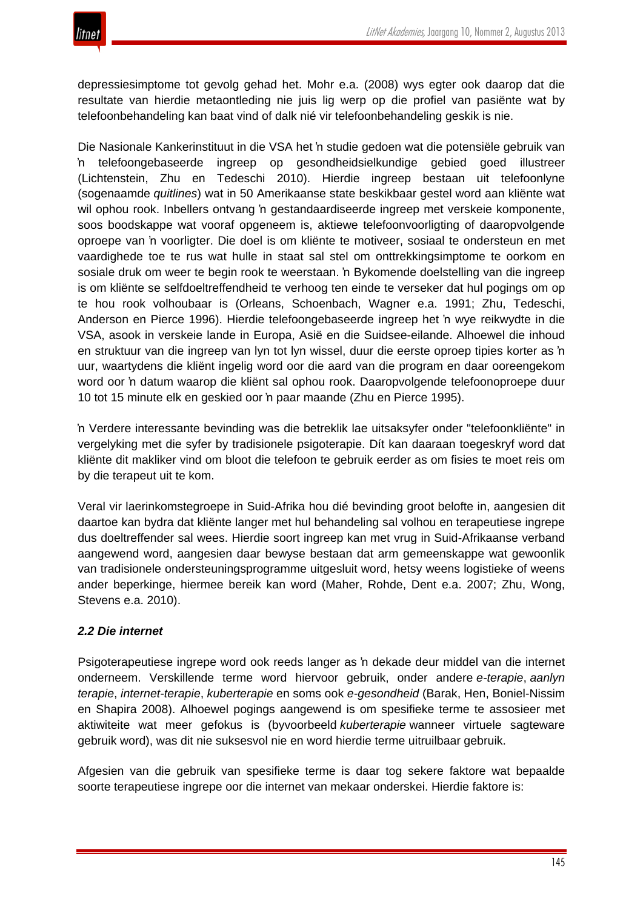depressiesimptome tot gevolg gehad het. Mohr e.a. (2008) wys egter ook daarop dat die resultate van hierdie metaontleding nie juis lig werp op die profiel van pasiënte wat by telefoonbehandeling kan baat vind of dalk nié vir telefoonbehandeling geskik is nie.

Die Nasionale Kankerinstituut in die VSA het 'n studie gedoen wat die potensiële gebruik van 'n telefoongebaseerde ingreep op gesondheidsielkundige gebied goed illustreer (Lichtenstein, Zhu en Tedeschi 2010). Hierdie ingreep bestaan uit telefoonlyne (sogenaamde *quitlines*) wat in 50 Amerikaanse state beskikbaar gestel word aan kliënte wat wil ophou rook. Inbellers ontvang 'n gestandaardiseerde ingreep met verskeie komponente, soos boodskappe wat vooraf opgeneem is, aktiewe telefoonvoorligting of daaropvolgende oproepe van 'n voorligter. Die doel is om kliënte te motiveer, sosiaal te ondersteun en met vaardighede toe te rus wat hulle in staat sal stel om onttrekkingsimptome te oorkom en sosiale druk om weer te begin rook te weerstaan. 'n Bykomende doelstelling van die ingreep is om kliënte se selfdoeltreffendheid te verhoog ten einde te verseker dat hul pogings om op te hou rook volhoubaar is (Orleans, Schoenbach, Wagner e.a. 1991; Zhu, Tedeschi, Anderson en Pierce 1996). Hierdie telefoongebaseerde ingreep het 'n wye reikwydte in die VSA, asook in verskeie lande in Europa, Asië en die Suidsee-eilande. Alhoewel die inhoud en struktuur van die ingreep van lyn tot lyn wissel, duur die eerste oproep tipies korter as 'n uur, waartydens die kliënt ingelig word oor die aard van die program en daar ooreengekom word oor 'n datum waarop die kliënt sal ophou rook. Daaropvolgende telefoonoproepe duur 10 tot 15 minute elk en geskied oor 'n paar maande (Zhu en Pierce 1995).

'n Verdere interessante bevinding was die betreklik lae uitsaksyfer onder "telefoonkliënte" in vergelyking met die syfer by tradisionele psigoterapie. Dít kan daaraan toegeskryf word dat kliënte dit makliker vind om bloot die telefoon te gebruik eerder as om fisies te moet reis om by die terapeut uit te kom.

Veral vir laerinkomstegroepe in Suid-Afrika hou dié bevinding groot belofte in, aangesien dit daartoe kan bydra dat kliënte langer met hul behandeling sal volhou en terapeutiese ingrepe dus doeltreffender sal wees. Hierdie soort ingreep kan met vrug in Suid-Afrikaanse verband aangewend word, aangesien daar bewyse bestaan dat arm gemeenskappe wat gewoonlik van tradisionele ondersteuningsprogramme uitgesluit word, hetsy weens logistieke of weens ander beperkinge, hiermee bereik kan word (Maher, Rohde, Dent e.a. 2007; Zhu, Wong, Stevens e.a. 2010).

# *2.2 Die internet*

Psigoterapeutiese ingrepe word ook reeds langer as 'n dekade deur middel van die internet onderneem. Verskillende terme word hiervoor gebruik, onder andere *e-terapie*, *aanlyn terapie*, *internet-terapie*, *kuberterapie* en soms ook *e-gesondheid* (Barak, Hen, Boniel-Nissim en Shapira 2008). Alhoewel pogings aangewend is om spesifieke terme te assosieer met aktiwiteite wat meer gefokus is (byvoorbeeld *kuberterapie* wanneer virtuele sagteware gebruik word), was dit nie suksesvol nie en word hierdie terme uitruilbaar gebruik.

Afgesien van die gebruik van spesifieke terme is daar tog sekere faktore wat bepaalde soorte terapeutiese ingrepe oor die internet van mekaar onderskei. Hierdie faktore is: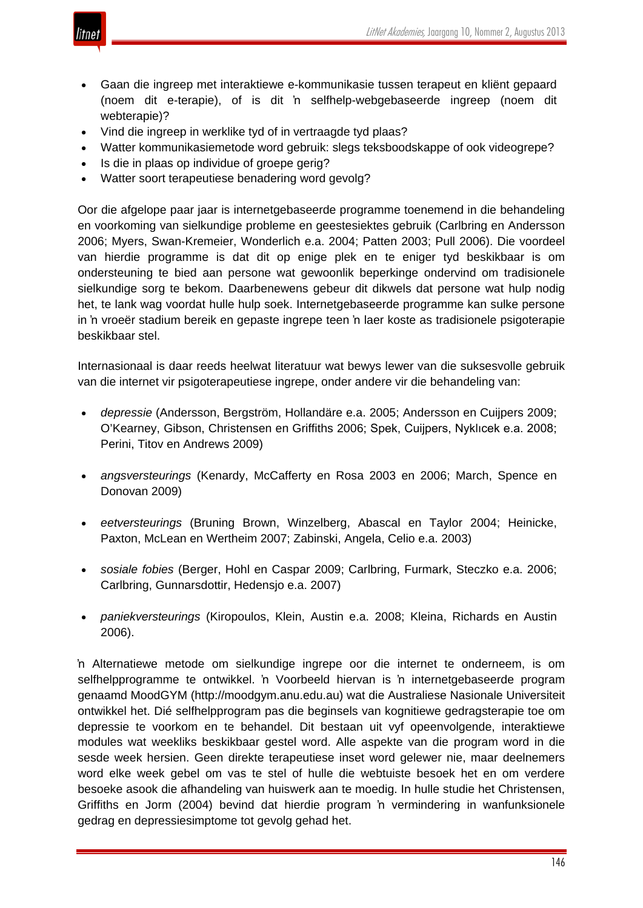

- Gaan die ingreep met interaktiewe e-kommunikasie tussen terapeut en kliënt gepaard (noem dit e-terapie), of is dit 'n selfhelp-webgebaseerde ingreep (noem dit webterapie)?
- Vind die ingreep in werklike tyd of in vertraagde tyd plaas?
- Watter kommunikasiemetode word gebruik: slegs teksboodskappe of ook videogrepe?
- Is die in plaas op individue of groepe gerig?
- Watter soort terapeutiese benadering word gevolg?

Oor die afgelope paar jaar is internetgebaseerde programme toenemend in die behandeling en voorkoming van sielkundige probleme en geestesiektes gebruik (Carlbring en Andersson 2006; Myers, Swan-Kremeier, Wonderlich e.a. 2004; Patten 2003; Pull 2006). Die voordeel van hierdie programme is dat dit op enige plek en te eniger tyd beskikbaar is om ondersteuning te bied aan persone wat gewoonlik beperkinge ondervind om tradisionele sielkundige sorg te bekom. Daarbenewens gebeur dit dikwels dat persone wat hulp nodig het, te lank wag voordat hulle hulp soek. Internetgebaseerde programme kan sulke persone in 'n vroeër stadium bereik en gepaste ingrepe teen 'n laer koste as tradisionele psigoterapie beskikbaar stel.

Internasionaal is daar reeds heelwat literatuur wat bewys lewer van die suksesvolle gebruik van die internet vir psigoterapeutiese ingrepe, onder andere vir die behandeling van:

- *depressie* (Andersson, Bergström, Hollandäre e.a. 2005; Andersson en Cuijpers 2009; O'Kearney, Gibson, Christensen en Griffiths 2006; Spek, Cuijpers, Nyklıcek e.a. 2008; Perini, Titov en Andrews 2009)
- *angsversteurings* (Kenardy, McCafferty en Rosa 2003 en 2006; March, Spence en Donovan 2009)
- *eetversteurings* (Bruning Brown, Winzelberg, Abascal en Taylor 2004; Heinicke, Paxton, McLean en Wertheim 2007; Zabinski, Angela, Celio e.a. 2003)
- *sosiale fobies* (Berger, Hohl en Caspar 2009; Carlbring, Furmark, Steczko e.a. 2006; Carlbring, Gunnarsdottir, Hedensjo e.a. 2007)
- *paniekversteurings* (Kiropoulos, Klein, Austin e.a. 2008; Kleina, Richards en Austin 2006).

'n Alternatiewe metode om sielkundige ingrepe oor die internet te onderneem, is om selfhelpprogramme te ontwikkel. 'n Voorbeeld hiervan is 'n internetgebaseerde program genaamd MoodGYM (http://moodgym.anu.edu.au) wat die Australiese Nasionale Universiteit ontwikkel het. Dié selfhelpprogram pas die beginsels van kognitiewe gedragsterapie toe om depressie te voorkom en te behandel. Dit bestaan uit vyf opeenvolgende, interaktiewe modules wat weekliks beskikbaar gestel word. Alle aspekte van die program word in die sesde week hersien. Geen direkte terapeutiese inset word gelewer nie, maar deelnemers word elke week gebel om vas te stel of hulle die webtuiste besoek het en om verdere besoeke asook die afhandeling van huiswerk aan te moedig. In hulle studie het Christensen, Griffiths en Jorm (2004) bevind dat hierdie program 'n vermindering in wanfunksionele gedrag en depressiesimptome tot gevolg gehad het.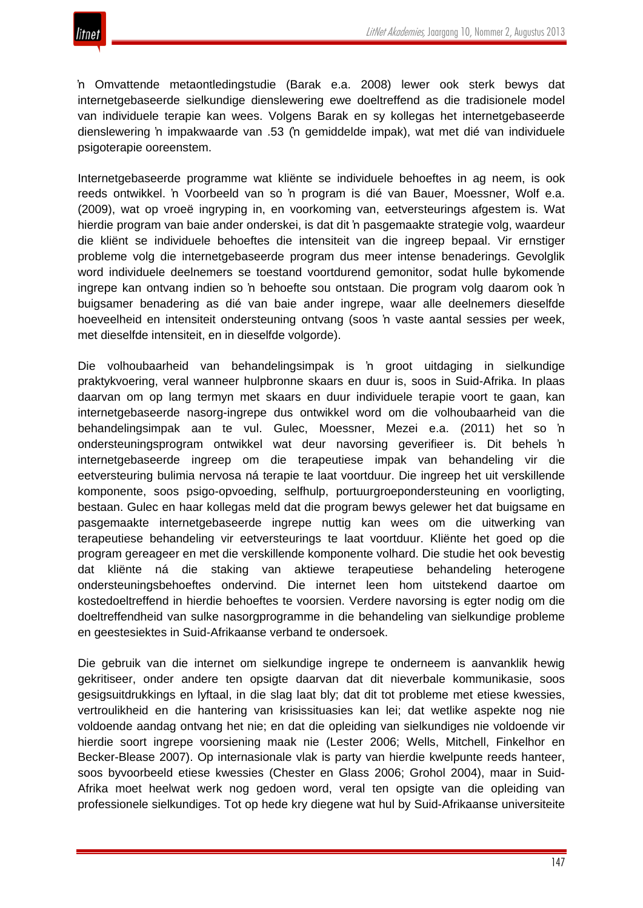'n Omvattende metaontledingstudie (Barak e.a. 2008) lewer ook sterk bewys dat internetgebaseerde sielkundige dienslewering ewe doeltreffend as die tradisionele model van individuele terapie kan wees. Volgens Barak en sy kollegas het internetgebaseerde dienslewering 'n impakwaarde van .53 ('n gemiddelde impak), wat met dié van individuele psigoterapie ooreenstem.

Internetgebaseerde programme wat kliënte se individuele behoeftes in ag neem, is ook reeds ontwikkel. 'n Voorbeeld van so 'n program is dié van Bauer, Moessner, Wolf e.a. (2009), wat op vroeë ingryping in, en voorkoming van, eetversteurings afgestem is. Wat hierdie program van baie ander onderskei, is dat dit 'n pasgemaakte strategie volg, waardeur die kliënt se individuele behoeftes die intensiteit van die ingreep bepaal. Vir ernstiger probleme volg die internetgebaseerde program dus meer intense benaderings. Gevolglik word individuele deelnemers se toestand voortdurend gemonitor, sodat hulle bykomende ingrepe kan ontvang indien so 'n behoefte sou ontstaan. Die program volg daarom ook 'n buigsamer benadering as dié van baie ander ingrepe, waar alle deelnemers dieselfde hoeveelheid en intensiteit ondersteuning ontvang (soos 'n vaste aantal sessies per week, met dieselfde intensiteit, en in dieselfde volgorde).

Die volhoubaarheid van behandelingsimpak is 'n groot uitdaging in sielkundige praktykvoering, veral wanneer hulpbronne skaars en duur is, soos in Suid-Afrika. In plaas daarvan om op lang termyn met skaars en duur individuele terapie voort te gaan, kan internetgebaseerde nasorg-ingrepe dus ontwikkel word om die volhoubaarheid van die behandelingsimpak aan te vul. Gulec, Moessner, Mezei e.a. (2011) het so 'n ondersteuningsprogram ontwikkel wat deur navorsing geverifieer is. Dit behels 'n internetgebaseerde ingreep om die terapeutiese impak van behandeling vir die eetversteuring bulimia nervosa ná terapie te laat voortduur. Die ingreep het uit verskillende komponente, soos psigo-opvoeding, selfhulp, portuurgroepondersteuning en voorligting, bestaan. Gulec en haar kollegas meld dat die program bewys gelewer het dat buigsame en pasgemaakte internetgebaseerde ingrepe nuttig kan wees om die uitwerking van terapeutiese behandeling vir eetversteurings te laat voortduur. Kliënte het goed op die program gereageer en met die verskillende komponente volhard. Die studie het ook bevestig dat kliënte ná die staking van aktiewe terapeutiese behandeling heterogene ondersteuningsbehoeftes ondervind. Die internet leen hom uitstekend daartoe om kostedoeltreffend in hierdie behoeftes te voorsien. Verdere navorsing is egter nodig om die doeltreffendheid van sulke nasorgprogramme in die behandeling van sielkundige probleme en geestesiektes in Suid-Afrikaanse verband te ondersoek.

Die gebruik van die internet om sielkundige ingrepe te onderneem is aanvanklik hewig gekritiseer, onder andere ten opsigte daarvan dat dit nieverbale kommunikasie, soos gesigsuitdrukkings en lyftaal, in die slag laat bly; dat dit tot probleme met etiese kwessies, vertroulikheid en die hantering van krisissituasies kan lei; dat wetlike aspekte nog nie voldoende aandag ontvang het nie; en dat die opleiding van sielkundiges nie voldoende vir hierdie soort ingrepe voorsiening maak nie (Lester 2006; Wells, Mitchell, Finkelhor en Becker-Blease 2007). Op internasionale vlak is party van hierdie kwelpunte reeds hanteer, soos byvoorbeeld etiese kwessies (Chester en Glass 2006; Grohol 2004), maar in Suid-Afrika moet heelwat werk nog gedoen word, veral ten opsigte van die opleiding van professionele sielkundiges. Tot op hede kry diegene wat hul by Suid-Afrikaanse universiteite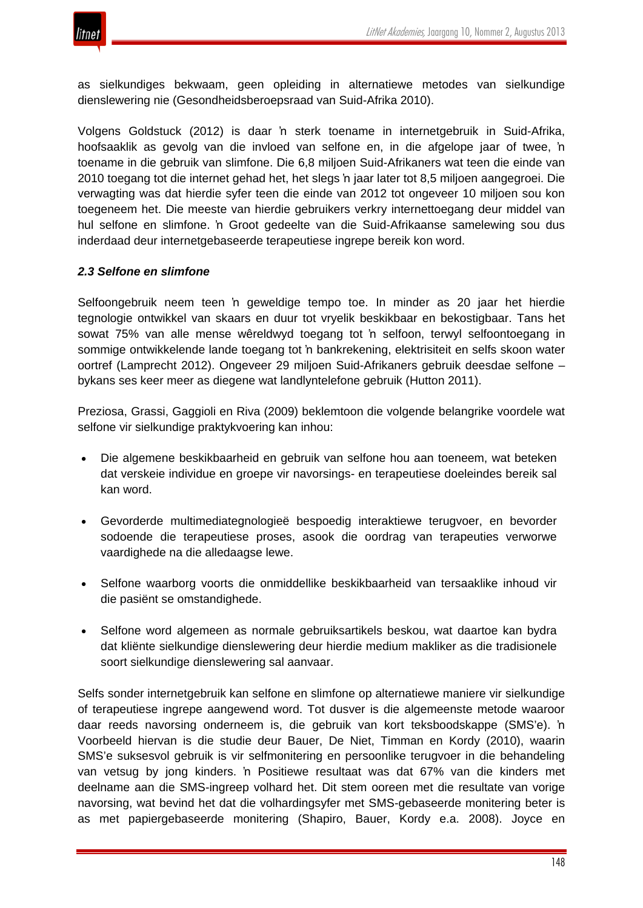

as sielkundiges bekwaam, geen opleiding in alternatiewe metodes van sielkundige dienslewering nie (Gesondheidsberoepsraad van Suid-Afrika 2010).

Volgens Goldstuck (2012) is daar 'n sterk toename in internetgebruik in Suid-Afrika, hoofsaaklik as gevolg van die invloed van selfone en, in die afgelope jaar of twee, 'n toename in die gebruik van slimfone. Die 6,8 miljoen Suid-Afrikaners wat teen die einde van 2010 toegang tot die internet gehad het, het slegs 'n jaar later tot 8,5 miljoen aangegroei. Die verwagting was dat hierdie syfer teen die einde van 2012 tot ongeveer 10 miljoen sou kon toegeneem het. Die meeste van hierdie gebruikers verkry internettoegang deur middel van hul selfone en slimfone. 'n Groot gedeelte van die Suid-Afrikaanse samelewing sou dus inderdaad deur internetgebaseerde terapeutiese ingrepe bereik kon word.

#### *2.3 Selfone en slimfone*

Selfoongebruik neem teen 'n geweldige tempo toe. In minder as 20 jaar het hierdie tegnologie ontwikkel van skaars en duur tot vryelik beskikbaar en bekostigbaar. Tans het sowat 75% van alle mense wêreldwyd toegang tot 'n selfoon, terwyl selfoontoegang in sommige ontwikkelende lande toegang tot 'n bankrekening, elektrisiteit en selfs skoon water oortref (Lamprecht 2012). Ongeveer 29 miljoen Suid-Afrikaners gebruik deesdae selfone – bykans ses keer meer as diegene wat landlyntelefone gebruik (Hutton 2011).

Preziosa, Grassi, Gaggioli en Riva (2009) beklemtoon die volgende belangrike voordele wat selfone vir sielkundige praktykvoering kan inhou:

- Die algemene beskikbaarheid en gebruik van selfone hou aan toeneem, wat beteken dat verskeie individue en groepe vir navorsings- en terapeutiese doeleindes bereik sal kan word.
- Gevorderde multimediategnologieë bespoedig interaktiewe terugvoer, en bevorder sodoende die terapeutiese proses, asook die oordrag van terapeuties verworwe vaardighede na die alledaagse lewe.
- Selfone waarborg voorts die onmiddellike beskikbaarheid van tersaaklike inhoud vir die pasiënt se omstandighede.
- Selfone word algemeen as normale gebruiksartikels beskou, wat daartoe kan bydra dat kliënte sielkundige dienslewering deur hierdie medium makliker as die tradisionele soort sielkundige dienslewering sal aanvaar.

Selfs sonder internetgebruik kan selfone en slimfone op alternatiewe maniere vir sielkundige of terapeutiese ingrepe aangewend word. Tot dusver is die algemeenste metode waaroor daar reeds navorsing onderneem is, die gebruik van kort teksboodskappe (SMS'e). 'n Voorbeeld hiervan is die studie deur Bauer, De Niet, Timman en Kordy (2010), waarin SMS'e suksesvol gebruik is vir selfmonitering en persoonlike terugvoer in die behandeling van vetsug by jong kinders. 'n Positiewe resultaat was dat 67% van die kinders met deelname aan die SMS-ingreep volhard het. Dit stem ooreen met die resultate van vorige navorsing, wat bevind het dat die volhardingsyfer met SMS-gebaseerde monitering beter is as met papiergebaseerde monitering (Shapiro, Bauer, Kordy e.a. 2008). Joyce en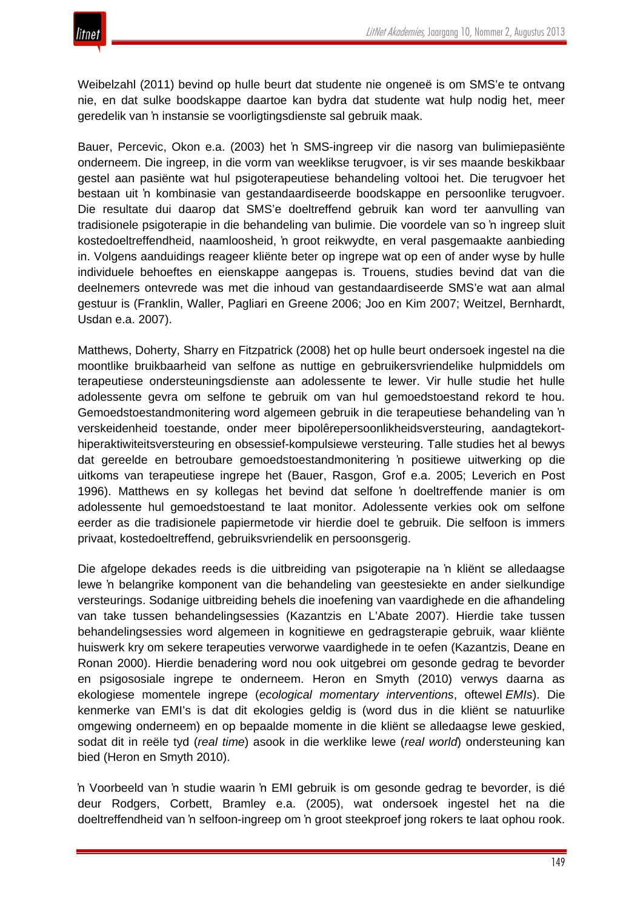Weibelzahl (2011) bevind op hulle beurt dat studente nie ongeneë is om SMS'e te ontvang nie, en dat sulke boodskappe daartoe kan bydra dat studente wat hulp nodig het, meer geredelik van 'n instansie se voorligtingsdienste sal gebruik maak.

Bauer, Percevic, Okon e.a. (2003) het 'n SMS-ingreep vir die nasorg van bulimiepasiënte onderneem. Die ingreep, in die vorm van weeklikse terugvoer, is vir ses maande beskikbaar gestel aan pasiënte wat hul psigoterapeutiese behandeling voltooi het. Die terugvoer het bestaan uit 'n kombinasie van gestandaardiseerde boodskappe en persoonlike terugvoer. Die resultate dui daarop dat SMS'e doeltreffend gebruik kan word ter aanvulling van tradisionele psigoterapie in die behandeling van bulimie. Die voordele van so 'n ingreep sluit kostedoeltreffendheid, naamloosheid, 'n groot reikwydte, en veral pasgemaakte aanbieding in. Volgens aanduidings reageer kliënte beter op ingrepe wat op een of ander wyse by hulle individuele behoeftes en eienskappe aangepas is. Trouens, studies bevind dat van die deelnemers ontevrede was met die inhoud van gestandaardiseerde SMS'e wat aan almal gestuur is (Franklin, Waller, Pagliari en Greene 2006; Joo en Kim 2007; Weitzel, Bernhardt, Usdan e.a. 2007).

Matthews, Doherty, Sharry en Fitzpatrick (2008) het op hulle beurt ondersoek ingestel na die moontlike bruikbaarheid van selfone as nuttige en gebruikersvriendelike hulpmiddels om terapeutiese ondersteuningsdienste aan adolessente te lewer. Vir hulle studie het hulle adolessente gevra om selfone te gebruik om van hul gemoedstoestand rekord te hou. Gemoedstoestandmonitering word algemeen gebruik in die terapeutiese behandeling van 'n verskeidenheid toestande, onder meer bipolêrepersoonlikheidsversteuring, aandagtekorthiperaktiwiteitsversteuring en obsessief-kompulsiewe versteuring. Talle studies het al bewys dat gereelde en betroubare gemoedstoestandmonitering 'n positiewe uitwerking op die uitkoms van terapeutiese ingrepe het (Bauer, Rasgon, Grof e.a. 2005; Leverich en Post 1996). Matthews en sy kollegas het bevind dat selfone 'n doeltreffende manier is om adolessente hul gemoedstoestand te laat monitor. Adolessente verkies ook om selfone eerder as die tradisionele papiermetode vir hierdie doel te gebruik. Die selfoon is immers privaat, kostedoeltreffend, gebruiksvriendelik en persoonsgerig.

Die afgelope dekades reeds is die uitbreiding van psigoterapie na 'n kliënt se alledaagse lewe 'n belangrike komponent van die behandeling van geestesiekte en ander sielkundige versteurings. Sodanige uitbreiding behels die inoefening van vaardighede en die afhandeling van take tussen behandelingsessies (Kazantzis en L'Abate 2007). Hierdie take tussen behandelingsessies word algemeen in kognitiewe en gedragsterapie gebruik, waar kliënte huiswerk kry om sekere terapeuties verworwe vaardighede in te oefen (Kazantzis, Deane en Ronan 2000). Hierdie benadering word nou ook uitgebrei om gesonde gedrag te bevorder en psigososiale ingrepe te onderneem. Heron en Smyth (2010) verwys daarna as ekologiese momentele ingrepe (*ecological momentary interventions*, oftewel *EMIs*). Die kenmerke van EMI's is dat dit ekologies geldig is (word dus in die kliënt se natuurlike omgewing onderneem) en op bepaalde momente in die kliënt se alledaagse lewe geskied, sodat dit in reële tyd (*real time*) asook in die werklike lewe (*real world*) ondersteuning kan bied (Heron en Smyth 2010).

'n Voorbeeld van 'n studie waarin 'n EMI gebruik is om gesonde gedrag te bevorder, is dié deur Rodgers, Corbett, Bramley e.a. (2005), wat ondersoek ingestel het na die doeltreffendheid van 'n selfoon-ingreep om 'n groot steekproef jong rokers te laat ophou rook.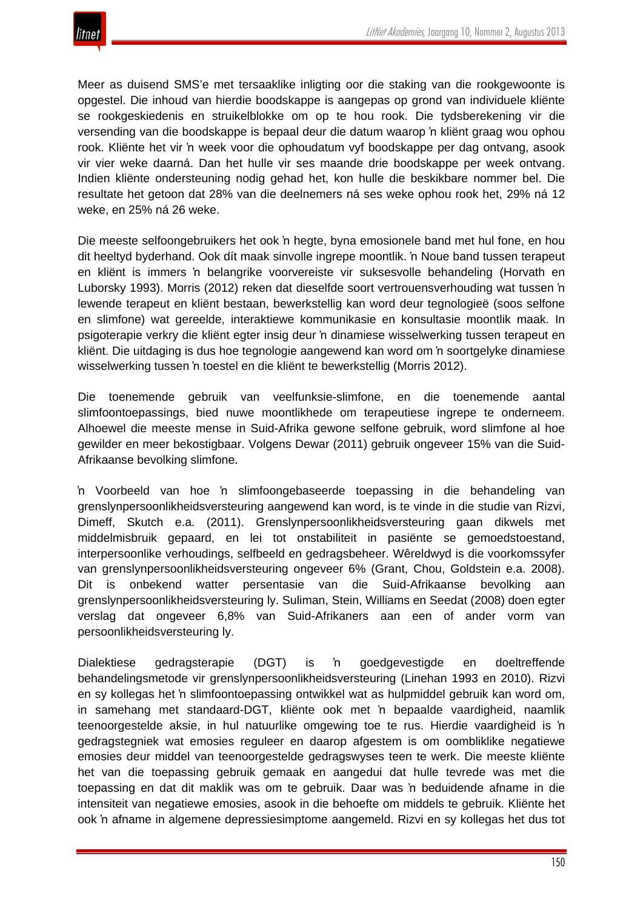

Meer as duisend SMS'e met tersaaklike inligting oor die staking van die rookgewoonte is opgestel. Die inhoud van hierdie boodskappe is aangepas op grond van individuele kliënte se rookgeskiedenis en struikelblokke om op te hou rook. Die tydsberekening vir die versending van die boodskappe is bepaal deur die datum waarop 'n kliënt graag wou ophou rook. Kliënte het vir 'n week voor die ophoudatum vyf boodskappe per dag ontvang, asook vir vier weke daarná. Dan het hulle vir ses maande drie boodskappe per week ontvang. Indien kliënte ondersteuning nodig gehad het, kon hulle die beskikbare nommer bel. Die resultate het getoon dat 28% van die deelnemers ná ses weke ophou rook het, 29% ná 12 weke, en 25% ná 26 weke.

Die meeste selfoongebruikers het ook 'n hegte, byna emosionele band met hul fone, en hou dit heeltyd byderhand. Ook dít maak sinvolle ingrepe moontlik. 'n Noue band tussen terapeut en kliënt is immers 'n belangrike voorvereiste vir suksesvolle behandeling (Horvath en Luborsky 1993). Morris (2012) reken dat dieselfde soort vertrouensverhouding wat tussen 'n lewende terapeut en kliënt bestaan, bewerkstellig kan word deur tegnologieë (soos selfone en slimfone) wat gereelde, interaktiewe kommunikasie en konsultasie moontlik maak. In psigoterapie verkry die kliënt egter insig deur 'n dinamiese wisselwerking tussen terapeut en kliënt. Die uitdaging is dus hoe tegnologie aangewend kan word om 'n soortgelyke dinamiese wisselwerking tussen 'n toestel en die kliënt te bewerkstellig (Morris 2012).

Die toenemende gebruik van veelfunksie-slimfone, en die toenemende aantal slimfoontoepassings, bied nuwe moontlikhede om terapeutiese ingrepe te onderneem. Alhoewel die meeste mense in Suid-Afrika gewone selfone gebruik, word slimfone al hoe gewilder en meer bekostigbaar. Volgens Dewar (2011) gebruik ongeveer 15% van die Suid-Afrikaanse bevolking slimfone.

'n Voorbeeld van hoe 'n slimfoongebaseerde toepassing in die behandeling van grenslynpersoonlikheidsversteuring aangewend kan word, is te vinde in die studie van Rizvi, Dimeff, Skutch e.a. (2011). Grenslynpersoonlikheidsversteuring gaan dikwels met middelmisbruik gepaard, en lei tot onstabiliteit in pasiënte se gemoedstoestand, interpersoonlike verhoudings, selfbeeld en gedragsbeheer. Wêreldwyd is die voorkomssyfer van grenslynpersoonlikheidsversteuring ongeveer 6% (Grant, Chou, Goldstein e.a. 2008). Dit is onbekend watter persentasie van die Suid-Afrikaanse bevolking aan grenslynpersoonlikheidsversteuring ly. Suliman, Stein, Williams en Seedat (2008) doen egter verslag dat ongeveer 6,8% van Suid-Afrikaners aan een of ander vorm van persoonlikheidsversteuring ly.

Dialektiese gedragsterapie (DGT) is 'n goedgevestigde en doeltreffende behandelingsmetode vir grenslynpersoonlikheidsversteuring (Linehan 1993 en 2010). Rizvi en sy kollegas het 'n slimfoontoepassing ontwikkel wat as hulpmiddel gebruik kan word om, in samehang met standaard-DGT, kliënte ook met 'n bepaalde vaardigheid, naamlik teenoorgestelde aksie, in hul natuurlike omgewing toe te rus. Hierdie vaardigheid is 'n gedragstegniek wat emosies reguleer en daarop afgestem is om oombliklike negatiewe emosies deur middel van teenoorgestelde gedragswyses teen te werk. Die meeste kliënte het van die toepassing gebruik gemaak en aangedui dat hulle tevrede was met die toepassing en dat dit maklik was om te gebruik. Daar was 'n beduidende afname in die intensiteit van negatiewe emosies, asook in die behoefte om middels te gebruik. Kliënte het ook 'n afname in algemene depressiesimptome aangemeld. Rizvi en sy kollegas het dus tot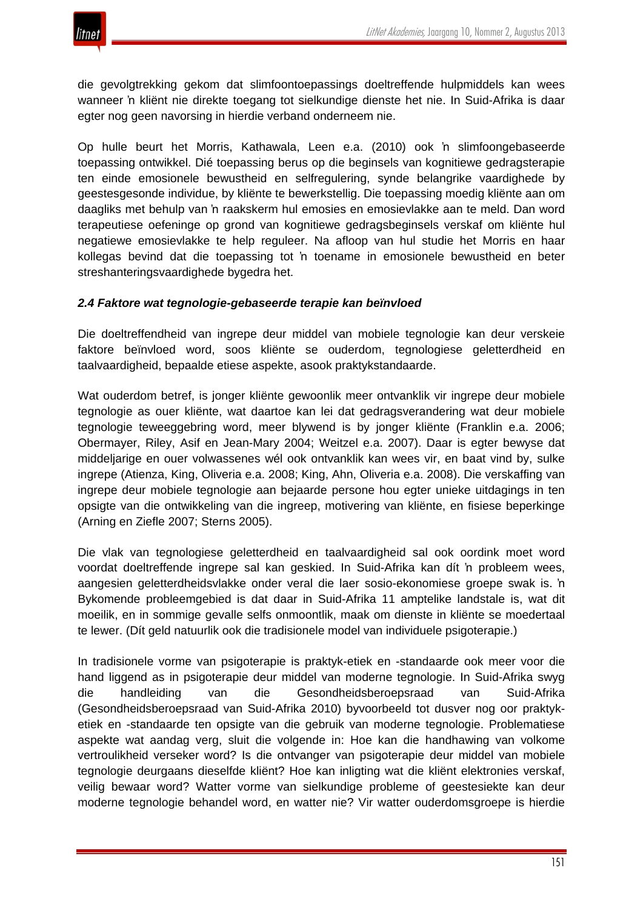

die gevolgtrekking gekom dat slimfoontoepassings doeltreffende hulpmiddels kan wees wanneer 'n kliënt nie direkte toegang tot sielkundige dienste het nie. In Suid-Afrika is daar egter nog geen navorsing in hierdie verband onderneem nie.

Op hulle beurt het Morris, Kathawala, Leen e.a. (2010) ook 'n slimfoongebaseerde toepassing ontwikkel. Dié toepassing berus op die beginsels van kognitiewe gedragsterapie ten einde emosionele bewustheid en selfregulering, synde belangrike vaardighede by geestesgesonde individue, by kliënte te bewerkstellig. Die toepassing moedig kliënte aan om daagliks met behulp van 'n raakskerm hul emosies en emosievlakke aan te meld. Dan word terapeutiese oefeninge op grond van kognitiewe gedragsbeginsels verskaf om kliënte hul negatiewe emosievlakke te help reguleer. Na afloop van hul studie het Morris en haar kollegas bevind dat die toepassing tot 'n toename in emosionele bewustheid en beter streshanteringsvaardighede bygedra het.

#### *2.4 Faktore wat tegnologie-gebaseerde terapie kan beïnvloed*

Die doeltreffendheid van ingrepe deur middel van mobiele tegnologie kan deur verskeie faktore beïnvloed word, soos kliënte se ouderdom, tegnologiese geletterdheid en taalvaardigheid, bepaalde etiese aspekte, asook praktykstandaarde.

Wat ouderdom betref, is jonger kliënte gewoonlik meer ontvanklik vir ingrepe deur mobiele tegnologie as ouer kliënte, wat daartoe kan lei dat gedragsverandering wat deur mobiele tegnologie teweeggebring word, meer blywend is by jonger kliënte (Franklin e.a. 2006; Obermayer, Riley, Asif en Jean-Mary 2004; Weitzel e.a. 2007). Daar is egter bewyse dat middeljarige en ouer volwassenes wél ook ontvanklik kan wees vir, en baat vind by, sulke ingrepe (Atienza, King, Oliveria e.a. 2008; King, Ahn, Oliveria e.a. 2008). Die verskaffing van ingrepe deur mobiele tegnologie aan bejaarde persone hou egter unieke uitdagings in ten opsigte van die ontwikkeling van die ingreep, motivering van kliënte, en fisiese beperkinge (Arning en Ziefle 2007; Sterns 2005).

Die vlak van tegnologiese geletterdheid en taalvaardigheid sal ook oordink moet word voordat doeltreffende ingrepe sal kan geskied. In Suid-Afrika kan dít 'n probleem wees, aangesien geletterdheidsvlakke onder veral die laer sosio-ekonomiese groepe swak is. 'n Bykomende probleemgebied is dat daar in Suid-Afrika 11 amptelike landstale is, wat dit moeilik, en in sommige gevalle selfs onmoontlik, maak om dienste in kliënte se moedertaal te lewer. (Dít geld natuurlik ook die tradisionele model van individuele psigoterapie.)

In tradisionele vorme van psigoterapie is praktyk-etiek en -standaarde ook meer voor die hand liggend as in psigoterapie deur middel van moderne tegnologie. In Suid-Afrika swyg die handleiding van die Gesondheidsberoepsraad van Suid-Afrika (Gesondheidsberoepsraad van Suid-Afrika 2010) byvoorbeeld tot dusver nog oor praktyketiek en -standaarde ten opsigte van die gebruik van moderne tegnologie. Problematiese aspekte wat aandag verg, sluit die volgende in: Hoe kan die handhawing van volkome vertroulikheid verseker word? Is die ontvanger van psigoterapie deur middel van mobiele tegnologie deurgaans dieselfde kliënt? Hoe kan inligting wat die kliënt elektronies verskaf, veilig bewaar word? Watter vorme van sielkundige probleme of geestesiekte kan deur moderne tegnologie behandel word, en watter nie? Vir watter ouderdomsgroepe is hierdie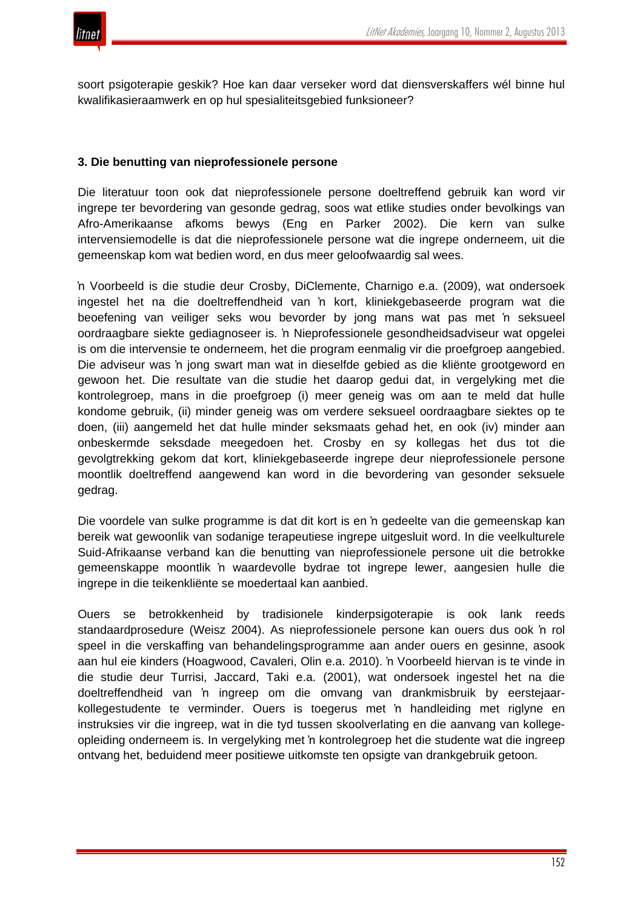

soort psigoterapie geskik? Hoe kan daar verseker word dat diensverskaffers wél binne hul kwalifikasieraamwerk en op hul spesialiteitsgebied funksioneer?

#### **3. Die benutting van nieprofessionele persone**

Die literatuur toon ook dat nieprofessionele persone doeltreffend gebruik kan word vir ingrepe ter bevordering van gesonde gedrag, soos wat etlike studies onder bevolkings van Afro-Amerikaanse afkoms bewys (Eng en Parker 2002). Die kern van sulke intervensiemodelle is dat die nieprofessionele persone wat die ingrepe onderneem, uit die gemeenskap kom wat bedien word, en dus meer geloofwaardig sal wees.

'n Voorbeeld is die studie deur Crosby, DiClemente, Charnigo e.a. (2009), wat ondersoek ingestel het na die doeltreffendheid van 'n kort, kliniekgebaseerde program wat die beoefening van veiliger seks wou bevorder by jong mans wat pas met 'n seksueel oordraagbare siekte gediagnoseer is. 'n Nieprofessionele gesondheidsadviseur wat opgelei is om die intervensie te onderneem, het die program eenmalig vir die proefgroep aangebied. Die adviseur was 'n jong swart man wat in dieselfde gebied as die kliënte grootgeword en gewoon het. Die resultate van die studie het daarop gedui dat, in vergelyking met die kontrolegroep, mans in die proefgroep (i) meer geneig was om aan te meld dat hulle kondome gebruik, (ii) minder geneig was om verdere seksueel oordraagbare siektes op te doen, (iii) aangemeld het dat hulle minder seksmaats gehad het, en ook (iv) minder aan onbeskermde seksdade meegedoen het. Crosby en sy kollegas het dus tot die gevolgtrekking gekom dat kort, kliniekgebaseerde ingrepe deur nieprofessionele persone moontlik doeltreffend aangewend kan word in die bevordering van gesonder seksuele gedrag.

Die voordele van sulke programme is dat dit kort is en 'n gedeelte van die gemeenskap kan bereik wat gewoonlik van sodanige terapeutiese ingrepe uitgesluit word. In die veelkulturele Suid-Afrikaanse verband kan die benutting van nieprofessionele persone uit die betrokke gemeenskappe moontlik 'n waardevolle bydrae tot ingrepe lewer, aangesien hulle die ingrepe in die teikenkliënte se moedertaal kan aanbied.

Ouers se betrokkenheid by tradisionele kinderpsigoterapie is ook lank reeds standaardprosedure (Weisz 2004). As nieprofessionele persone kan ouers dus ook 'n rol speel in die verskaffing van behandelingsprogramme aan ander ouers en gesinne, asook aan hul eie kinders (Hoagwood, Cavaleri, Olin e.a. 2010). 'n Voorbeeld hiervan is te vinde in die studie deur Turrisi, Jaccard, Taki e.a. (2001), wat ondersoek ingestel het na die doeltreffendheid van 'n ingreep om die omvang van drankmisbruik by eerstejaarkollegestudente te verminder. Ouers is toegerus met 'n handleiding met riglyne en instruksies vir die ingreep, wat in die tyd tussen skoolverlating en die aanvang van kollegeopleiding onderneem is. In vergelyking met 'n kontrolegroep het die studente wat die ingreep ontvang het, beduidend meer positiewe uitkomste ten opsigte van drankgebruik getoon.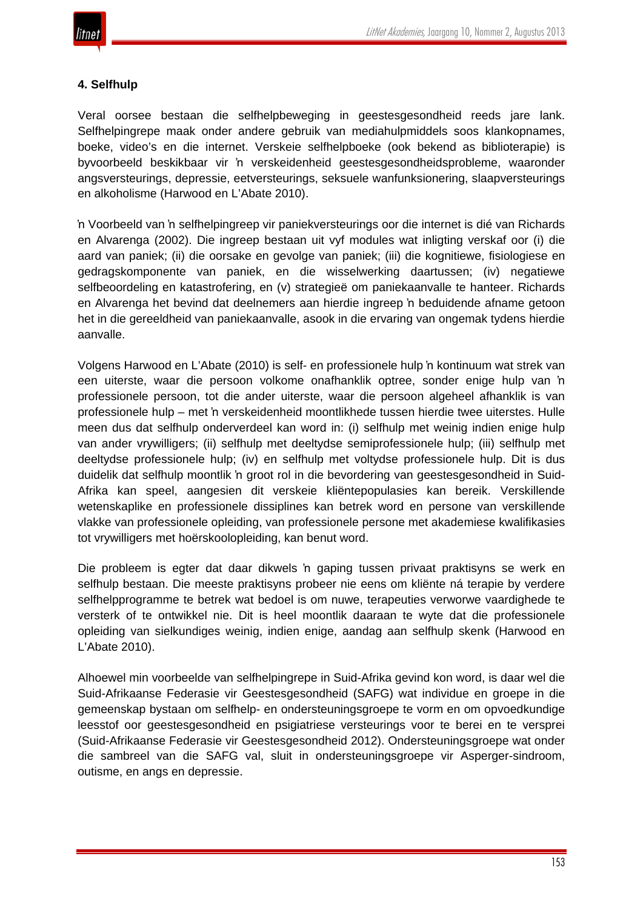# **4. Selfhulp**

Veral oorsee bestaan die selfhelpbeweging in geestesgesondheid reeds jare lank. Selfhelpingrepe maak onder andere gebruik van mediahulpmiddels soos klankopnames, boeke, video's en die internet. Verskeie selfhelpboeke (ook bekend as biblioterapie) is byvoorbeeld beskikbaar vir 'n verskeidenheid geestesgesondheidsprobleme, waaronder angsversteurings, depressie, eetversteurings, seksuele wanfunksionering, slaapversteurings en alkoholisme (Harwood en L'Abate 2010).

'n Voorbeeld van 'n selfhelpingreep vir paniekversteurings oor die internet is dié van Richards en Alvarenga (2002). Die ingreep bestaan uit vyf modules wat inligting verskaf oor (i) die aard van paniek; (ii) die oorsake en gevolge van paniek; (iii) die kognitiewe, fisiologiese en gedragskomponente van paniek, en die wisselwerking daartussen; (iv) negatiewe selfbeoordeling en katastrofering, en (v) strategieë om paniekaanvalle te hanteer. Richards en Alvarenga het bevind dat deelnemers aan hierdie ingreep 'n beduidende afname getoon het in die gereeldheid van paniekaanvalle, asook in die ervaring van ongemak tydens hierdie aanvalle.

Volgens Harwood en L'Abate (2010) is self- en professionele hulp 'n kontinuum wat strek van een uiterste, waar die persoon volkome onafhanklik optree, sonder enige hulp van 'n professionele persoon, tot die ander uiterste, waar die persoon algeheel afhanklik is van professionele hulp – met 'n verskeidenheid moontlikhede tussen hierdie twee uiterstes. Hulle meen dus dat selfhulp onderverdeel kan word in: (i) selfhulp met weinig indien enige hulp van ander vrywilligers; (ii) selfhulp met deeltydse semiprofessionele hulp; (iii) selfhulp met deeltydse professionele hulp; (iv) en selfhulp met voltydse professionele hulp. Dit is dus duidelik dat selfhulp moontlik 'n groot rol in die bevordering van geestesgesondheid in Suid-Afrika kan speel, aangesien dit verskeie kliëntepopulasies kan bereik. Verskillende wetenskaplike en professionele dissiplines kan betrek word en persone van verskillende vlakke van professionele opleiding, van professionele persone met akademiese kwalifikasies tot vrywilligers met hoërskoolopleiding, kan benut word.

Die probleem is egter dat daar dikwels 'n gaping tussen privaat praktisyns se werk en selfhulp bestaan. Die meeste praktisyns probeer nie eens om kliënte ná terapie by verdere selfhelpprogramme te betrek wat bedoel is om nuwe, terapeuties verworwe vaardighede te versterk of te ontwikkel nie. Dit is heel moontlik daaraan te wyte dat die professionele opleiding van sielkundiges weinig, indien enige, aandag aan selfhulp skenk (Harwood en L'Abate 2010).

Alhoewel min voorbeelde van selfhelpingrepe in Suid-Afrika gevind kon word, is daar wel die Suid-Afrikaanse Federasie vir Geestesgesondheid (SAFG) wat individue en groepe in die gemeenskap bystaan om selfhelp- en ondersteuningsgroepe te vorm en om opvoedkundige leesstof oor geestesgesondheid en psigiatriese versteurings voor te berei en te versprei (Suid-Afrikaanse Federasie vir Geestesgesondheid 2012). Ondersteuningsgroepe wat onder die sambreel van die SAFG val, sluit in ondersteuningsgroepe vir Asperger-sindroom, outisme, en angs en depressie.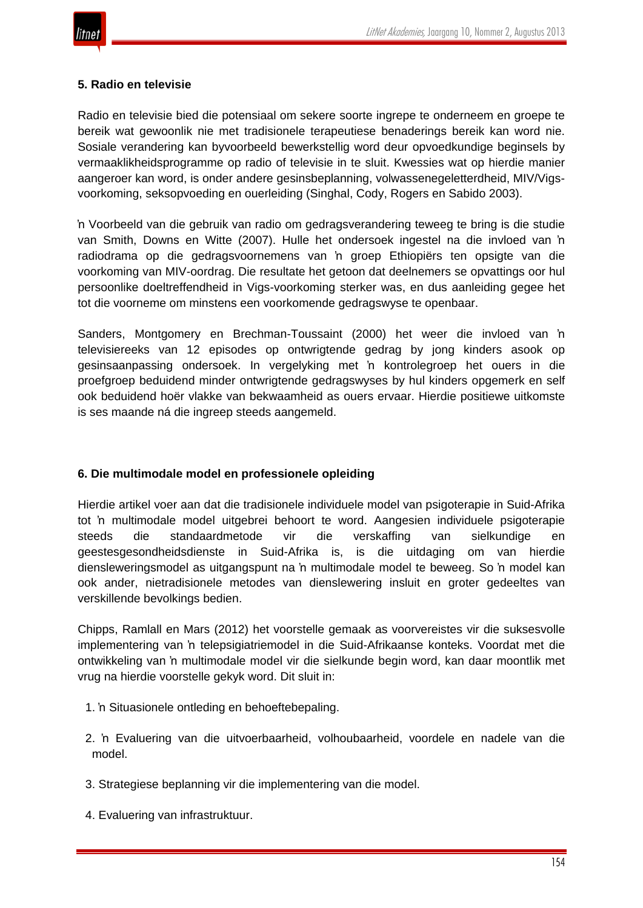

#### **5. Radio en televisie**

Radio en televisie bied die potensiaal om sekere soorte ingrepe te onderneem en groepe te bereik wat gewoonlik nie met tradisionele terapeutiese benaderings bereik kan word nie. Sosiale verandering kan byvoorbeeld bewerkstellig word deur opvoedkundige beginsels by vermaaklikheidsprogramme op radio of televisie in te sluit. Kwessies wat op hierdie manier aangeroer kan word, is onder andere gesinsbeplanning, volwassenegeletterdheid, MIV/Vigsvoorkoming, seksopvoeding en ouerleiding (Singhal, Cody, Rogers en Sabido 2003).

'n Voorbeeld van die gebruik van radio om gedragsverandering teweeg te bring is die studie van Smith, Downs en Witte (2007). Hulle het ondersoek ingestel na die invloed van 'n radiodrama op die gedragsvoornemens van 'n groep Ethiopiërs ten opsigte van die voorkoming van MIV-oordrag. Die resultate het getoon dat deelnemers se opvattings oor hul persoonlike doeltreffendheid in Vigs-voorkoming sterker was, en dus aanleiding gegee het tot die voorneme om minstens een voorkomende gedragswyse te openbaar.

Sanders, Montgomery en Brechman-Toussaint (2000) het weer die invloed van 'n televisiereeks van 12 episodes op ontwrigtende gedrag by jong kinders asook op gesinsaanpassing ondersoek. In vergelyking met 'n kontrolegroep het ouers in die proefgroep beduidend minder ontwrigtende gedragswyses by hul kinders opgemerk en self ook beduidend hoër vlakke van bekwaamheid as ouers ervaar. Hierdie positiewe uitkomste is ses maande ná die ingreep steeds aangemeld.

# **6. Die multimodale model en professionele opleiding**

Hierdie artikel voer aan dat die tradisionele individuele model van psigoterapie in Suid-Afrika tot 'n multimodale model uitgebrei behoort te word. Aangesien individuele psigoterapie steeds die standaardmetode vir die verskaffing van sielkundige en geestesgesondheidsdienste in Suid-Afrika is, is die uitdaging om van hierdie diensleweringsmodel as uitgangspunt na 'n multimodale model te beweeg. So 'n model kan ook ander, nietradisionele metodes van dienslewering insluit en groter gedeeltes van verskillende bevolkings bedien.

Chipps, Ramlall en Mars (2012) het voorstelle gemaak as voorvereistes vir die suksesvolle implementering van 'n telepsigiatriemodel in die Suid-Afrikaanse konteks. Voordat met die ontwikkeling van 'n multimodale model vir die sielkunde begin word, kan daar moontlik met vrug na hierdie voorstelle gekyk word. Dit sluit in:

- 1. 'n Situasionele ontleding en behoeftebepaling.
- 2. 'n Evaluering van die uitvoerbaarheid, volhoubaarheid, voordele en nadele van die model.
- 3. Strategiese beplanning vir die implementering van die model.
- 4. Evaluering van infrastruktuur.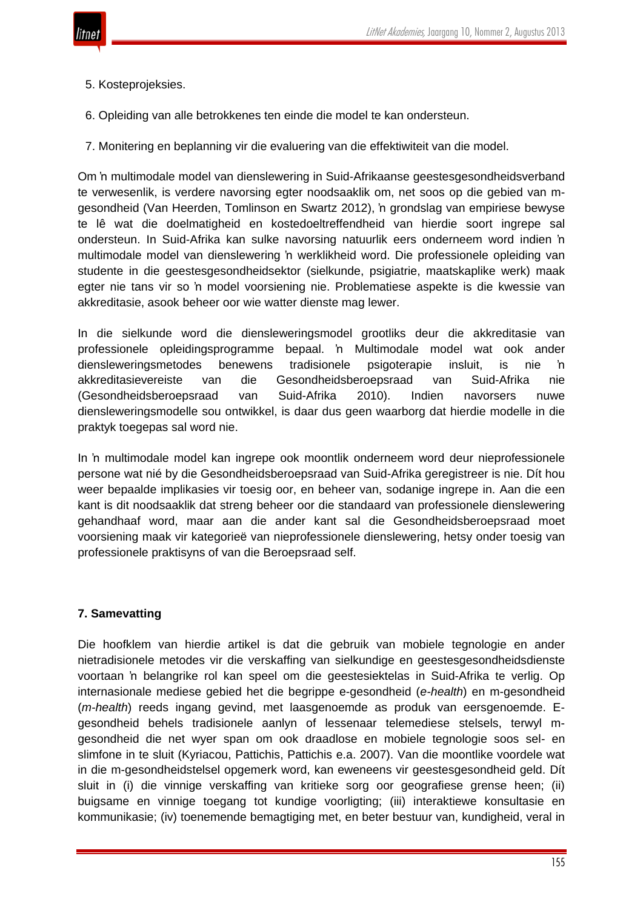

- 5. Kosteprojeksies.
- 6. Opleiding van alle betrokkenes ten einde die model te kan ondersteun.
- 7. Monitering en beplanning vir die evaluering van die effektiwiteit van die model.

Om 'n multimodale model van dienslewering in Suid-Afrikaanse geestesgesondheidsverband te verwesenlik, is verdere navorsing egter noodsaaklik om, net soos op die gebied van mgesondheid (Van Heerden, Tomlinson en Swartz 2012), 'n grondslag van empiriese bewyse te lê wat die doelmatigheid en kostedoeltreffendheid van hierdie soort ingrepe sal ondersteun. In Suid-Afrika kan sulke navorsing natuurlik eers onderneem word indien 'n multimodale model van dienslewering 'n werklikheid word. Die professionele opleiding van studente in die geestesgesondheidsektor (sielkunde, psigiatrie, maatskaplike werk) maak egter nie tans vir so 'n model voorsiening nie. Problematiese aspekte is die kwessie van akkreditasie, asook beheer oor wie watter dienste mag lewer.

In die sielkunde word die diensleweringsmodel grootliks deur die akkreditasie van professionele opleidingsprogramme bepaal. 'n Multimodale model wat ook ander diensleweringsmetodes benewens tradisionele psigoterapie insluit, is nie 'n akkreditasievereiste van die Gesondheidsberoepsraad van Suid-Afrika nie (Gesondheidsberoepsraad van Suid-Afrika 2010). Indien navorsers nuwe diensleweringsmodelle sou ontwikkel, is daar dus geen waarborg dat hierdie modelle in die praktyk toegepas sal word nie.

In 'n multimodale model kan ingrepe ook moontlik onderneem word deur nieprofessionele persone wat nié by die Gesondheidsberoepsraad van Suid-Afrika geregistreer is nie. Dít hou weer bepaalde implikasies vir toesig oor, en beheer van, sodanige ingrepe in. Aan die een kant is dit noodsaaklik dat streng beheer oor die standaard van professionele dienslewering gehandhaaf word, maar aan die ander kant sal die Gesondheidsberoepsraad moet voorsiening maak vir kategorieë van nieprofessionele dienslewering, hetsy onder toesig van professionele praktisyns of van die Beroepsraad self.

#### **7. Samevatting**

Die hoofklem van hierdie artikel is dat die gebruik van mobiele tegnologie en ander nietradisionele metodes vir die verskaffing van sielkundige en geestesgesondheidsdienste voortaan 'n belangrike rol kan speel om die geestesiektelas in Suid-Afrika te verlig. Op internasionale mediese gebied het die begrippe e-gesondheid (*e-health*) en m-gesondheid (*m-health*) reeds ingang gevind, met laasgenoemde as produk van eersgenoemde. Egesondheid behels tradisionele aanlyn of lessenaar telemediese stelsels, terwyl mgesondheid die net wyer span om ook draadlose en mobiele tegnologie soos sel- en slimfone in te sluit (Kyriacou, Pattichis, Pattichis e.a. 2007). Van die moontlike voordele wat in die m-gesondheidstelsel opgemerk word, kan eweneens vir geestesgesondheid geld. Dít sluit in (i) die vinnige verskaffing van kritieke sorg oor geografiese grense heen; (ii) buigsame en vinnige toegang tot kundige voorligting; (iii) interaktiewe konsultasie en kommunikasie; (iv) toenemende bemagtiging met, en beter bestuur van, kundigheid, veral in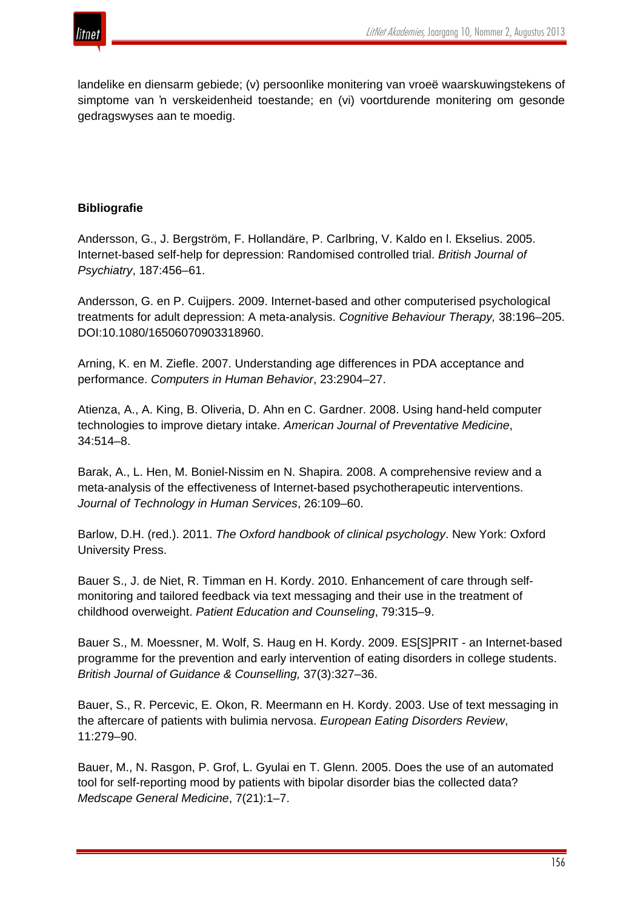

landelike en diensarm gebiede; (v) persoonlike monitering van vroeë waarskuwingstekens of simptome van 'n verskeidenheid toestande; en (vi) voortdurende monitering om gesonde gedragswyses aan te moedig.

## **Bibliografie**

Andersson, G., J. Bergström, F. Hollandäre, P. Carlbring, V. Kaldo en l. Ekselius. 2005. Internet-based self-help for depression: Randomised controlled trial. *British Journal of Psychiatry*, 187:456–61.

Andersson, G. en P. Cuijpers. 2009. Internet-based and other computerised psychological treatments for adult depression: A meta-analysis. *Cognitive Behaviour Therapy,* 38:196–205. DOI:10.1080/16506070903318960.

Arning, K. en M. Ziefle. 2007. Understanding age differences in PDA acceptance and performance. *Computers in Human Behavior*, 23:2904–27.

Atienza, A., A. King, B. Oliveria, D. Ahn en C. Gardner. 2008. Using hand-held computer technologies to improve dietary intake. *American Journal of Preventative Medicine*, 34:514–8.

Barak, A., L. Hen, M. Boniel-Nissim en N. Shapira. 2008. A comprehensive review and a meta-analysis of the effectiveness of Internet-based psychotherapeutic interventions. *Journal of Technology in Human Services*, 26:109–60.

Barlow, D.H. (red.). 2011. *The Oxford handbook of clinical psychology*. New York: Oxford University Press.

Bauer S., J. de Niet, R. Timman en H. Kordy. 2010. Enhancement of care through selfmonitoring and tailored feedback via text messaging and their use in the treatment of childhood overweight. *Patient Education and Counseling*, 79:315–9.

Bauer S., M. Moessner, M. Wolf, S. Haug en H. Kordy. 2009. ES[S]PRIT - an Internet-based programme for the prevention and early intervention of eating disorders in college students. *British Journal of Guidance & Counselling,* 37(3):327–36.

Bauer, S., R. Percevic, E. Okon, R. Meermann en H. Kordy. 2003. Use of text messaging in the aftercare of patients with bulimia nervosa. *European Eating Disorders Review*, 11:279–90.

Bauer, M., N. Rasgon, P. Grof, L. Gyulai en T. Glenn. 2005. Does the use of an automated tool for self-reporting mood by patients with bipolar disorder bias the collected data? *Medscape General Medicine*, 7(21):1–7.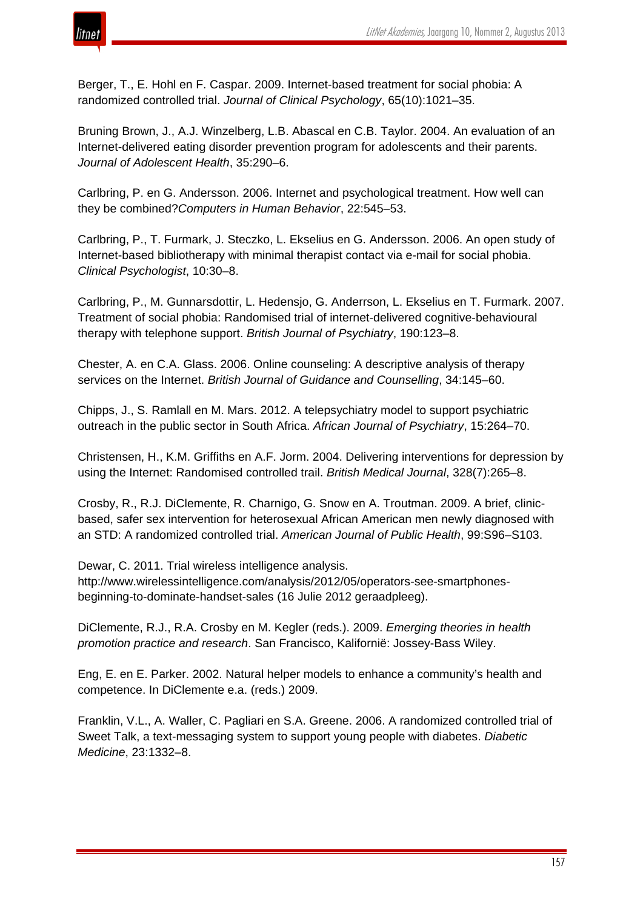

Berger, T., E. Hohl en F. Caspar. 2009. Internet-based treatment for social phobia: A randomized controlled trial. *Journal of Clinical Psychology*, 65(10):1021–35.

Bruning Brown, J., A.J. Winzelberg, L.B. Abascal en C.B. Taylor. 2004. An evaluation of an Internet-delivered eating disorder prevention program for adolescents and their parents. *Journal of Adolescent Health*, 35:290–6.

Carlbring, P. en G. Andersson. 2006. Internet and psychological treatment. How well can they be combined?*Computers in Human Behavior*, 22:545–53.

Carlbring, P., T. Furmark, J. Steczko, L. Ekselius en G. Andersson. 2006. An open study of Internet-based bibliotherapy with minimal therapist contact via e-mail for social phobia. *Clinical Psychologist*, 10:30–8.

Carlbring, P., M. Gunnarsdottir, L. Hedensjo, G. Anderrson, L. Ekselius en T. Furmark. 2007. Treatment of social phobia: Randomised trial of internet-delivered cognitive-behavioural therapy with telephone support. *British Journal of Psychiatry*, 190:123–8.

Chester, A. en C.A. Glass. 2006. Online counseling: A descriptive analysis of therapy services on the Internet. *British Journal of Guidance and Counselling*, 34:145–60.

Chipps, J., S. Ramlall en M. Mars. 2012. A telepsychiatry model to support psychiatric outreach in the public sector in South Africa. *African Journal of Psychiatry*, 15:264–70.

Christensen, H., K.M. Griffiths en A.F. Jorm. 2004. Delivering interventions for depression by using the Internet: Randomised controlled trail. *British Medical Journal*, 328(7):265–8.

Crosby, R., R.J. DiClemente, R. Charnigo, G. Snow en A. Troutman. 2009. A brief, clinicbased, safer sex intervention for heterosexual African American men newly diagnosed with an STD: A randomized controlled trial. *American Journal of Public Health*, 99:S96–S103.

Dewar, C. 2011. Trial wireless intelligence analysis. http://www.wirelessintelligence.com/analysis/2012/05/operators-see-smartphonesbeginning-to-dominate-handset-sales (16 Julie 2012 geraadpleeg).

DiClemente, R.J., R.A. Crosby en M. Kegler (reds.). 2009. *Emerging theories in health promotion practice and research*. San Francisco, Kalifornië: Jossey-Bass Wiley.

Eng, E. en E. Parker. 2002. Natural helper models to enhance a community's health and competence. In DiClemente e.a. (reds.) 2009.

Franklin, V.L., A. Waller, C. Pagliari en S.A. Greene. 2006. A randomized controlled trial of Sweet Talk, a text-messaging system to support young people with diabetes. *Diabetic Medicine*, 23:1332–8.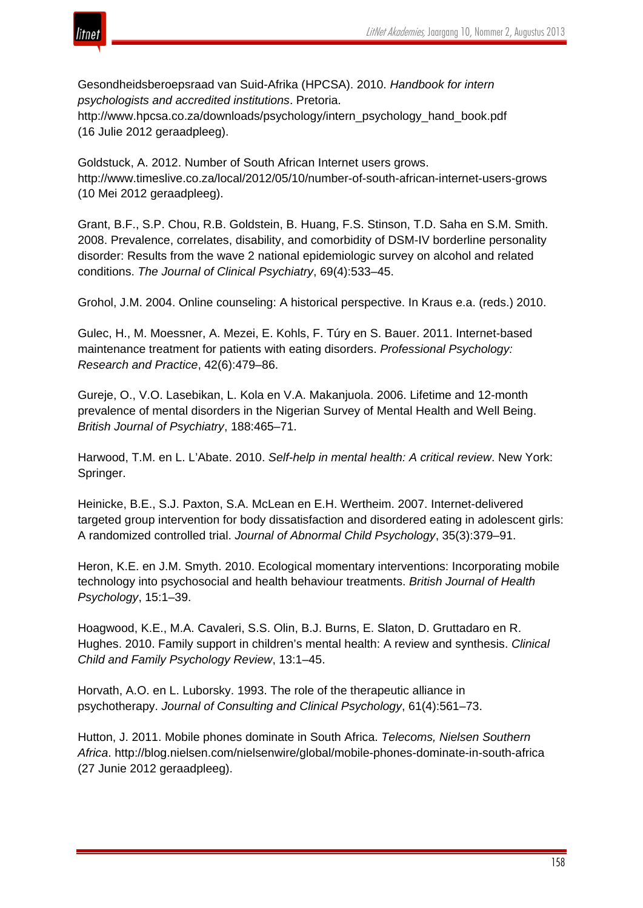

Gesondheidsberoepsraad van Suid-Afrika (HPCSA). 2010. *Handbook for intern psychologists and accredited institutions*. Pretoria.

http://www.hpcsa.co.za/downloads/psychology/intern\_psychology\_hand\_book.pdf (16 Julie 2012 geraadpleeg).

Goldstuck, A. 2012. Number of South African Internet users grows. http://www.timeslive.co.za/local/2012/05/10/number-of-south-african-internet-users-grows (10 Mei 2012 geraadpleeg).

Grant, B.F., S.P. Chou, R.B. Goldstein, B. Huang, F.S. Stinson, T.D. Saha en S.M. Smith. 2008. Prevalence, correlates, disability, and comorbidity of DSM-IV borderline personality disorder: Results from the wave 2 national epidemiologic survey on alcohol and related conditions. *The Journal of Clinical Psychiatry*, 69(4):533–45.

Grohol, J.M. 2004. Online counseling: A historical perspective. In Kraus e.a. (reds.) 2010.

Gulec, H., M. Moessner, A. Mezei, E. Kohls, F. Túry en S. Bauer. 2011. Internet-based maintenance treatment for patients with eating disorders. *Professional Psychology: Research and Practice*, 42(6):479–86.

Gureje, O., V.O. Lasebikan, L. Kola en V.A. Makanjuola. 2006. Lifetime and 12-month prevalence of mental disorders in the Nigerian Survey of Mental Health and Well Being. *British Journal of Psychiatry*, 188:465–71.

Harwood, T.M. en L. L'Abate. 2010. *Self-help in mental health: A critical review*. New York: Springer.

Heinicke, B.E., S.J. Paxton, S.A. McLean en E.H. Wertheim. 2007. Internet-delivered targeted group intervention for body dissatisfaction and disordered eating in adolescent girls: A randomized controlled trial. *Journal of Abnormal Child Psychology*, 35(3):379–91.

Heron, K.E. en J.M. Smyth. 2010. Ecological momentary interventions: Incorporating mobile technology into psychosocial and health behaviour treatments. *British Journal of Health Psychology*, 15:1–39.

Hoagwood, K.E., M.A. Cavaleri, S.S. Olin, B.J. Burns, E. Slaton, D. Gruttadaro en R. Hughes. 2010. Family support in children's mental health: A review and synthesis. *Clinical Child and Family Psychology Review*, 13:1–45.

Horvath, A.O. en L. Luborsky. 1993. The role of the therapeutic alliance in psychotherapy. *Journal of Consulting and Clinical Psychology*, 61(4):561–73.

Hutton, J. 2011. Mobile phones dominate in South Africa. *Telecoms, Nielsen Southern Africa*. http://blog.nielsen.com/nielsenwire/global/mobile-phones-dominate-in-south-africa (27 Junie 2012 geraadpleeg).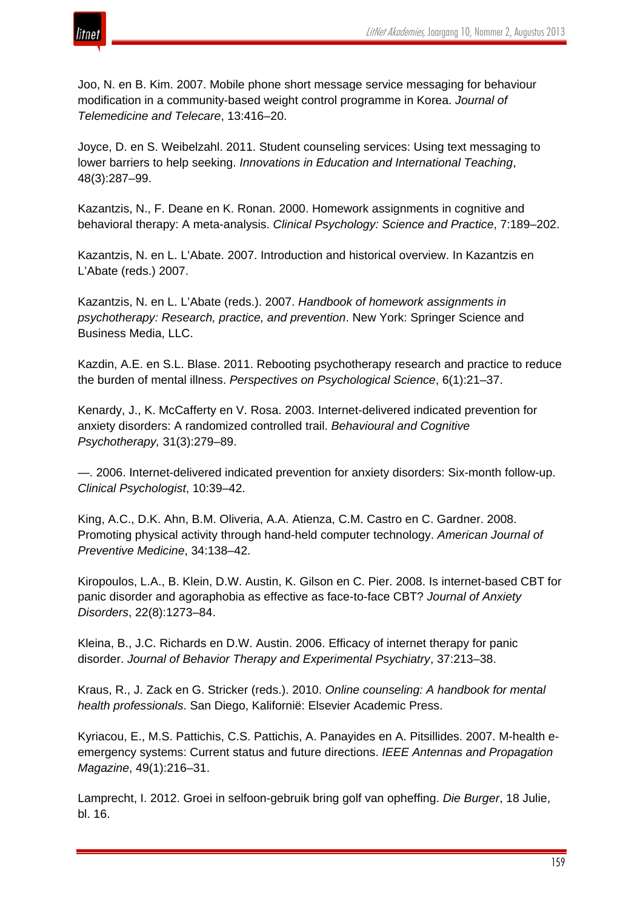

Joo, N. en B. Kim. 2007. Mobile phone short message service messaging for behaviour modification in a community-based weight control programme in Korea. *Journal of Telemedicine and Telecare*, 13:416–20.

Joyce, D. en S. Weibelzahl. 2011. Student counseling services: Using text messaging to lower barriers to help seeking. *Innovations in Education and International Teaching*, 48(3):287–99.

Kazantzis, N., F. Deane en K. Ronan. 2000. Homework assignments in cognitive and behavioral therapy: A meta-analysis. *Clinical Psychology: Science and Practice*, 7:189–202.

Kazantzis, N. en L. L'Abate. 2007. Introduction and historical overview. In Kazantzis en L'Abate (reds.) 2007.

Kazantzis, N. en L. L'Abate (reds.). 2007. *Handbook of homework assignments in psychotherapy: Research, practice, and prevention*. New York: Springer Science and Business Media, LLC.

Kazdin, A.E. en S.L. Blase. 2011. Rebooting psychotherapy research and practice to reduce the burden of mental illness. *Perspectives on Psychological Science*, 6(1):21–37.

Kenardy, J., K. McCafferty en V. Rosa. 2003. Internet-delivered indicated prevention for anxiety disorders: A randomized controlled trail. *Behavioural and Cognitive Psychotherapy,* 31(3):279–89.

—. 2006. Internet-delivered indicated prevention for anxiety disorders: Six-month follow-up. *Clinical Psychologist*, 10:39–42.

King, A.C., D.K. Ahn, B.M. Oliveria, A.A. Atienza, C.M. Castro en C. Gardner. 2008. Promoting physical activity through hand-held computer technology. *American Journal of Preventive Medicine*, 34:138–42.

Kiropoulos, L.A., B. Klein, D.W. Austin, K. Gilson en C. Pier. 2008. Is internet-based CBT for panic disorder and agoraphobia as effective as face-to-face CBT? *Journal of Anxiety Disorders*, 22(8):1273–84.

Kleina, B., J.C. Richards en D.W. Austin. 2006. Efficacy of internet therapy for panic disorder. *Journal of Behavior Therapy and Experimental Psychiatry*, 37:213–38.

Kraus, R., J. Zack en G. Stricker (reds.). 2010. *Online counseling: A handbook for mental health professionals*. San Diego, Kalifornië: Elsevier Academic Press.

Kyriacou, E., M.S. Pattichis, C.S. Pattichis, A. Panayides en A. Pitsillides. 2007. M-health eemergency systems: Current status and future directions. *IEEE Antennas and Propagation Magazine*, 49(1):216–31.

Lamprecht, I. 2012. Groei in selfoon-gebruik bring golf van opheffing. *Die Burger*, 18 Julie, bl. 16.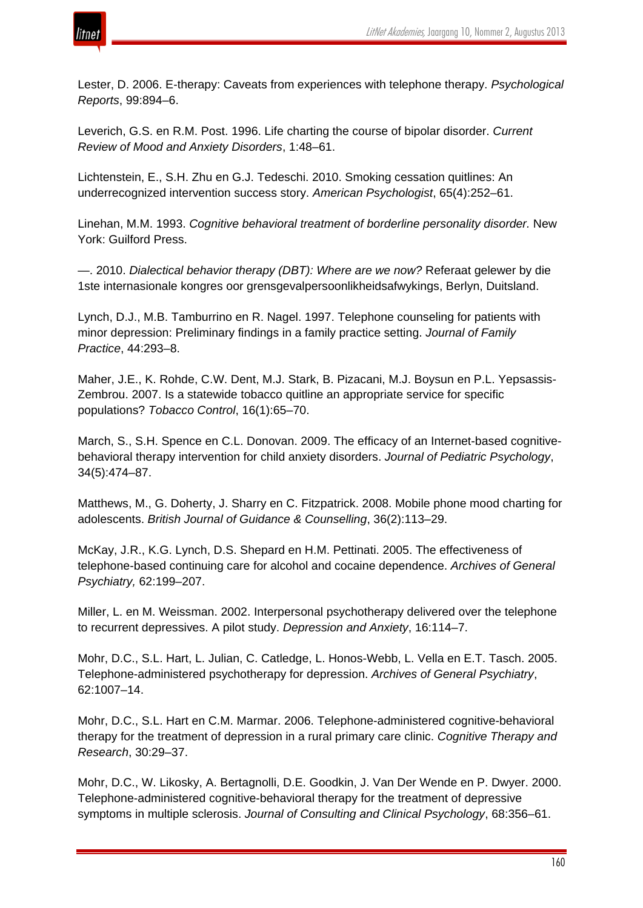



Lester, D. 2006. E-therapy: Caveats from experiences with telephone therapy. *Psychological Reports*, 99:894–6.

Leverich, G.S. en R.M. Post. 1996. Life charting the course of bipolar disorder. *Current Review of Mood and Anxiety Disorders*, 1:48–61.

Lichtenstein, E., S.H. Zhu en G.J. Tedeschi. 2010. Smoking cessation quitlines: An underrecognized intervention success story. *American Psychologist*, 65(4):252–61.

Linehan, M.M. 1993. *Cognitive behavioral treatment of borderline personality disorder.* New York: Guilford Press.

—. 2010. *Dialectical behavior therapy (DBT): Where are we now?* Referaat gelewer by die 1ste internasionale kongres oor grensgevalpersoonlikheidsafwykings, Berlyn, Duitsland.

Lynch, D.J., M.B. Tamburrino en R. Nagel. 1997. Telephone counseling for patients with minor depression: Preliminary findings in a family practice setting. *Journal of Family Practice*, 44:293–8.

Maher, J.E., K. Rohde, C.W. Dent, M.J. Stark, B. Pizacani, M.J. Boysun en P.L. Yepsassis-Zembrou. 2007. Is a statewide tobacco quitline an appropriate service for specific populations? *Tobacco Control*, 16(1):65–70.

March, S., S.H. Spence en C.L. Donovan. 2009. The efficacy of an Internet-based cognitivebehavioral therapy intervention for child anxiety disorders. *Journal of Pediatric Psychology*, 34(5):474–87.

Matthews, M., G. Doherty, J. Sharry en C. Fitzpatrick. 2008. Mobile phone mood charting for adolescents. *British Journal of Guidance & Counselling*, 36(2):113–29.

McKay, J.R., K.G. Lynch, D.S. Shepard en H.M. Pettinati. 2005. The effectiveness of telephone-based continuing care for alcohol and cocaine dependence. *Archives of General Psychiatry,* 62:199–207.

Miller, L. en M. Weissman. 2002. Interpersonal psychotherapy delivered over the telephone to recurrent depressives. A pilot study. *Depression and Anxiety*, 16:114–7.

Mohr, D.C., S.L. Hart, L. Julian, C. Catledge, L. Honos-Webb, L. Vella en E.T. Tasch. 2005. Telephone-administered psychotherapy for depression. *Archives of General Psychiatry*, 62:1007–14.

Mohr, D.C., S.L. Hart en C.M. Marmar. 2006. Telephone-administered cognitive-behavioral therapy for the treatment of depression in a rural primary care clinic. *Cognitive Therapy and Research*, 30:29–37.

Mohr, D.C., W. Likosky, A. Bertagnolli, D.E. Goodkin, J. Van Der Wende en P. Dwyer. 2000. Telephone-administered cognitive-behavioral therapy for the treatment of depressive symptoms in multiple sclerosis. *Journal of Consulting and Clinical Psychology*, 68:356–61.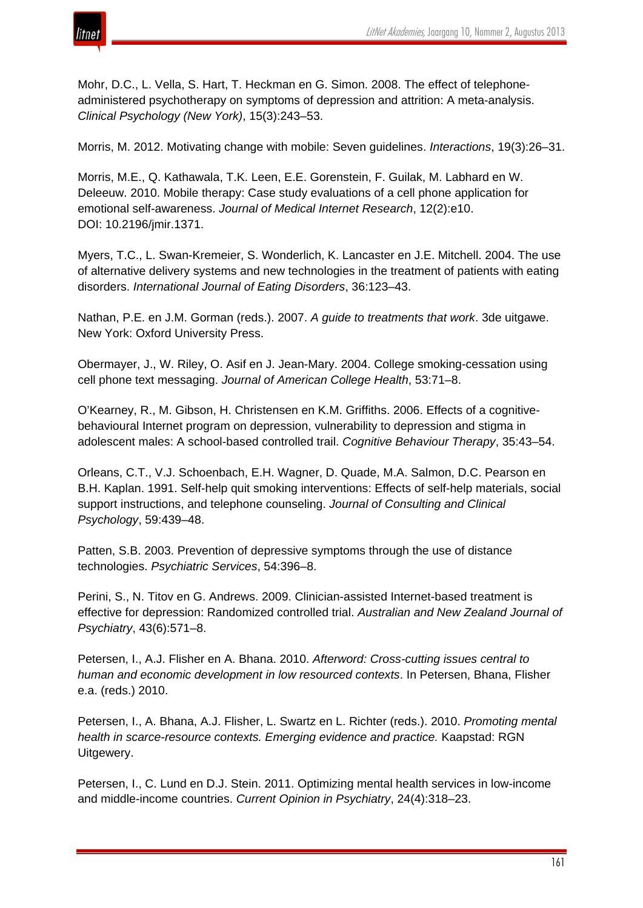

Mohr, D.C., L. Vella, S. Hart, T. Heckman en G. Simon. 2008. The effect of telephoneadministered psychotherapy on symptoms of depression and attrition: A meta-analysis. *Clinical Psychology (New York)*, 15(3):243–53.

Morris, M. 2012. Motivating change with mobile: Seven guidelines. *Interactions*, 19(3):26–31.

Morris, M.E., Q. Kathawala, T.K. Leen, E.E. Gorenstein, F. Guilak, M. Labhard en W. Deleeuw. 2010. Mobile therapy: Case study evaluations of a cell phone application for emotional self-awareness. *Journal of Medical Internet Research*, 12(2):e10. DOI: 10.2196/jmir.1371.

Myers, T.C., L. Swan-Kremeier, S. Wonderlich, K. Lancaster en J.E. Mitchell. 2004. The use of alternative delivery systems and new technologies in the treatment of patients with eating disorders. *International Journal of Eating Disorders*, 36:123–43.

Nathan, P.E. en J.M. Gorman (reds.). 2007. *A guide to treatments that work*. 3de uitgawe. New York: Oxford University Press.

Obermayer, J., W. Riley, O. Asif en J. Jean-Mary. 2004. College smoking-cessation using cell phone text messaging. *Journal of American College Health*, 53:71–8.

O'Kearney, R., M. Gibson, H. Christensen en K.M. Griffiths. 2006. Effects of a cognitivebehavioural Internet program on depression, vulnerability to depression and stigma in adolescent males: A school-based controlled trail. *Cognitive Behaviour Therapy*, 35:43–54.

Orleans, C.T., V.J. Schoenbach, E.H. Wagner, D. Quade, M.A. Salmon, D.C. Pearson en B.H. Kaplan. 1991. Self-help quit smoking interventions: Effects of self-help materials, social support instructions, and telephone counseling. *Journal of Consulting and Clinical Psychology*, 59:439–48.

Patten, S.B. 2003. Prevention of depressive symptoms through the use of distance technologies. *Psychiatric Services*, 54:396–8.

Perini, S., N. Titov en G. Andrews. 2009. Clinician-assisted Internet-based treatment is effective for depression: Randomized controlled trial. *Australian and New Zealand Journal of Psychiatry*, 43(6):571–8.

Petersen, I., A.J. Flisher en A. Bhana. 2010. *Afterword: Cross-cutting issues central to human and economic development in low resourced contexts*. In Petersen, Bhana, Flisher e.a. (reds.) 2010.

Petersen, I., A. Bhana, A.J. Flisher, L. Swartz en L. Richter (reds.). 2010. *Promoting mental health in scarce-resource contexts. Emerging evidence and practice.* Kaapstad: RGN Uitgewery.

Petersen, I., C. Lund en D.J. Stein. 2011. Optimizing mental health services in low-income and middle-income countries. *Current Opinion in Psychiatry*, 24(4):318–23.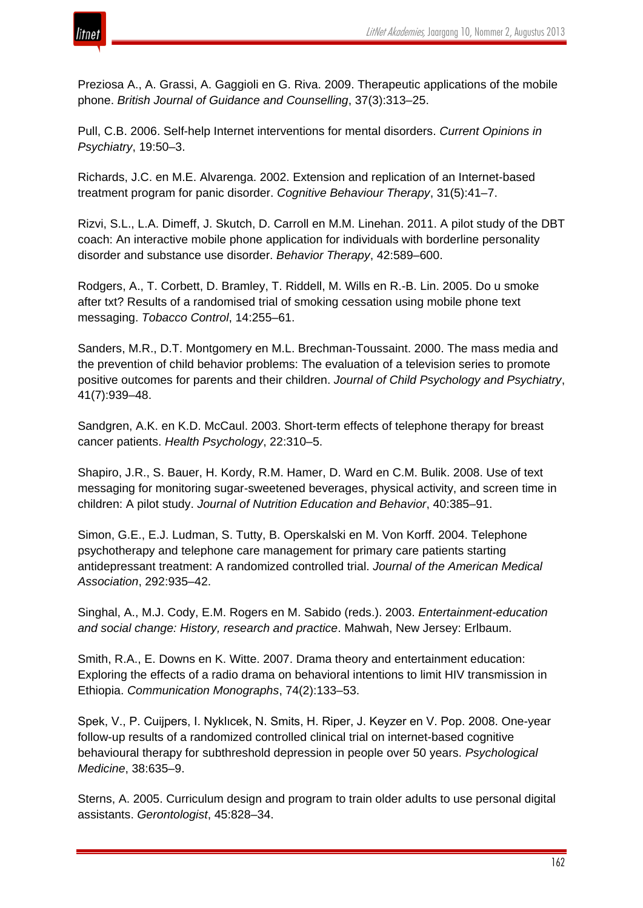

Preziosa A., A. Grassi, A. Gaggioli en G. Riva. 2009. Therapeutic applications of the mobile phone. *British Journal of Guidance and Counselling*, 37(3):313–25.

Pull, C.B. 2006. Self-help Internet interventions for mental disorders. *Current Opinions in Psychiatry*, 19:50–3.

Richards, J.C. en M.E. Alvarenga. 2002. Extension and replication of an Internet-based treatment program for panic disorder. *Cognitive Behaviour Therapy*, 31(5):41–7.

Rizvi, S.L., L.A. Dimeff, J. Skutch, D. Carroll en M.M. Linehan. 2011. A pilot study of the DBT coach: An interactive mobile phone application for individuals with borderline personality disorder and substance use disorder. *Behavior Therapy*, 42:589–600.

Rodgers, A., T. Corbett, D. Bramley, T. Riddell, M. Wills en R.-B. Lin. 2005. Do u smoke after txt? Results of a randomised trial of smoking cessation using mobile phone text messaging. *Tobacco Control*, 14:255–61.

Sanders, M.R., D.T. Montgomery en M.L. Brechman-Toussaint. 2000. The mass media and the prevention of child behavior problems: The evaluation of a television series to promote positive outcomes for parents and their children. *Journal of Child Psychology and Psychiatry*, 41(7):939–48.

Sandgren, A.K. en K.D. McCaul. 2003. Short-term effects of telephone therapy for breast cancer patients. *Health Psychology*, 22:310–5.

Shapiro, J.R., S. Bauer, H. Kordy, R.M. Hamer, D. Ward en C.M. Bulik. 2008. Use of text messaging for monitoring sugar-sweetened beverages, physical activity, and screen time in children: A pilot study. *Journal of Nutrition Education and Behavior*, 40:385–91.

Simon, G.E., E.J. Ludman, S. Tutty, B. Operskalski en M. Von Korff. 2004. Telephone psychotherapy and telephone care management for primary care patients starting antidepressant treatment: A randomized controlled trial. *Journal of the American Medical Association*, 292:935–42.

Singhal, A., M.J. Cody, E.M. Rogers en M. Sabido (reds.). 2003. *Entertainment-education and social change: History, research and practice*. Mahwah, New Jersey: Erlbaum.

Smith, R.A., E. Downs en K. Witte. 2007. Drama theory and entertainment education: Exploring the effects of a radio drama on behavioral intentions to limit HIV transmission in Ethiopia. *Communication Monographs*, 74(2):133–53.

Spek, V., P. Cuijpers, I. Nyklıcek, N. Smits, H. Riper, J. Keyzer en V. Pop. 2008. One-year follow-up results of a randomized controlled clinical trial on internet-based cognitive behavioural therapy for subthreshold depression in people over 50 years. *Psychological Medicine*, 38:635–9.

Sterns, A. 2005. Curriculum design and program to train older adults to use personal digital assistants. *Gerontologist*, 45:828–34.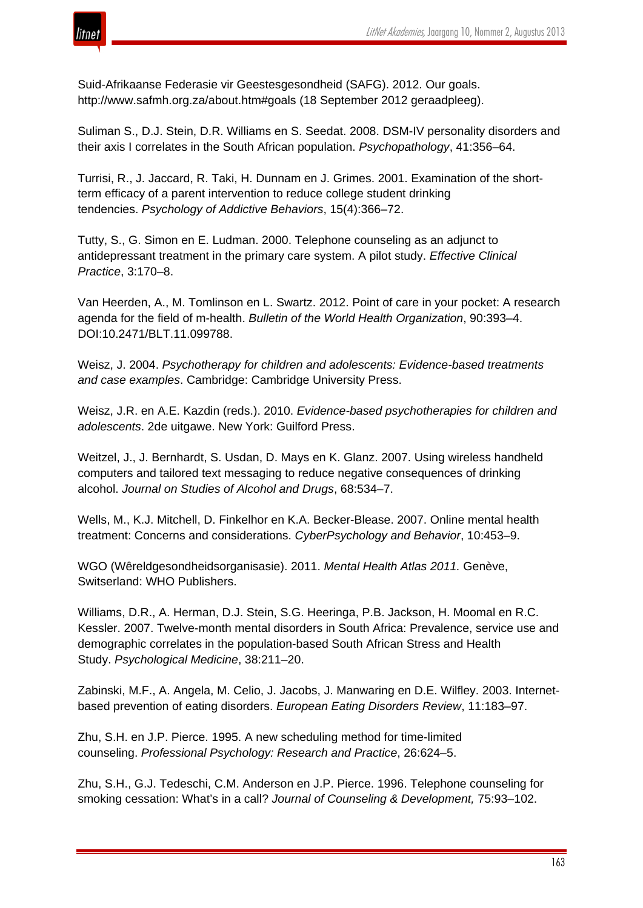

Suid-Afrikaanse Federasie vir Geestesgesondheid (SAFG). 2012. Our goals. http://www.safmh.org.za/about.htm#goals (18 September 2012 geraadpleeg).

Suliman S., D.J. Stein, D.R. Williams en S. Seedat. 2008. DSM-IV personality disorders and their axis I correlates in the South African population. *Psychopathology*, 41:356–64.

Turrisi, R., J. Jaccard, R. Taki, H. Dunnam en J. Grimes. 2001. Examination of the shortterm efficacy of a parent intervention to reduce college student drinking tendencies. *Psychology of Addictive Behaviors*, 15(4):366–72.

Tutty, S., G. Simon en E. Ludman. 2000. Telephone counseling as an adjunct to antidepressant treatment in the primary care system. A pilot study. *Effective Clinical Practice*, 3:170–8.

Van Heerden, A., M. Tomlinson en L. Swartz. 2012. Point of care in your pocket: A research agenda for the field of m-health. *Bulletin of the World Health Organization*, 90:393–4. DOI:10.2471/BLT.11.099788.

Weisz, J. 2004. *Psychotherapy for children and adolescents: Evidence-based treatments and case examples*. Cambridge: Cambridge University Press.

Weisz, J.R. en A.E. Kazdin (reds.). 2010. *Evidence-based psychotherapies for children and adolescents*. 2de uitgawe. New York: Guilford Press.

Weitzel, J., J. Bernhardt, S. Usdan, D. Mays en K. Glanz. 2007. Using wireless handheld computers and tailored text messaging to reduce negative consequences of drinking alcohol. *Journal on Studies of Alcohol and Drugs*, 68:534–7.

Wells, M., K.J. Mitchell, D. Finkelhor en K.A. Becker-Blease. 2007. Online mental health treatment: Concerns and considerations. *CyberPsychology and Behavior*, 10:453–9.

WGO (Wêreldgesondheidsorganisasie). 2011. *Mental Health Atlas 2011.* Genève, Switserland: WHO Publishers.

Williams, D.R., A. Herman, D.J. Stein, S.G. Heeringa, P.B. Jackson, H. Moomal en R.C. Kessler. 2007. Twelve-month mental disorders in South Africa: Prevalence, service use and demographic correlates in the population-based South African Stress and Health Study. *Psychological Medicine*, 38:211–20.

Zabinski, M.F., A. Angela, M. Celio, J. Jacobs, J. Manwaring en D.E. Wilfley. 2003. Internetbased prevention of eating disorders. *European Eating Disorders Review*, 11:183–97.

Zhu, S.H. en J.P. Pierce. 1995. A new scheduling method for time-limited counseling. *Professional Psychology: Research and Practice*, 26:624–5.

Zhu, S.H., G.J. Tedeschi, C.M. Anderson en J.P. Pierce. 1996. Telephone counseling for smoking cessation: What's in a call? *Journal of Counseling & Development,* 75:93–102.